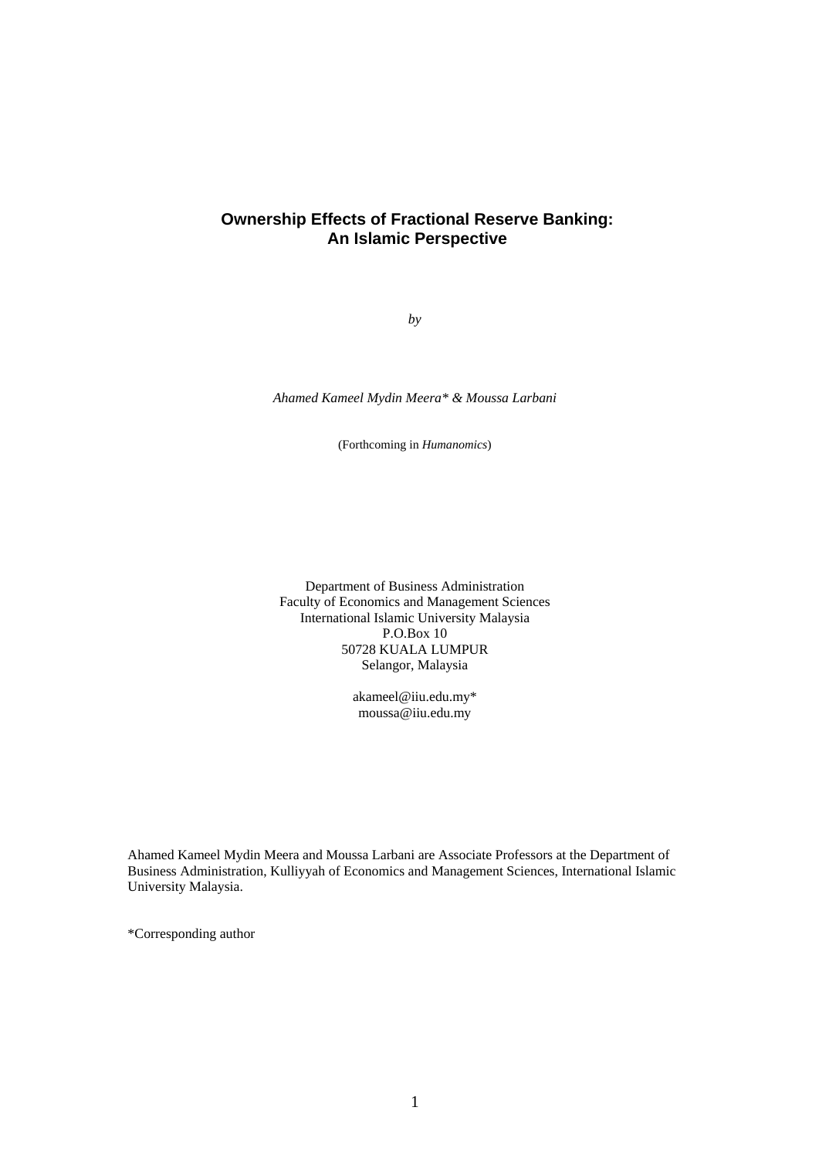# **Ownership Effects of Fractional Reserve Banking: An Islamic Perspective**

*by* 

*Ahamed Kameel Mydin Meera\* & Moussa Larbani* 

(Forthcoming in *Humanomics*)

Department of Business Administration Faculty of Economics and Management Sciences International Islamic University Malaysia P.O.Box 10 50728 KUALA LUMPUR Selangor, Malaysia

> akameel@iiu.edu.my\* moussa@iiu.edu.my

Ahamed Kameel Mydin Meera and Moussa Larbani are Associate Professors at the Department of Business Administration, Kulliyyah of Economics and Management Sciences, International Islamic University Malaysia.

\*Corresponding author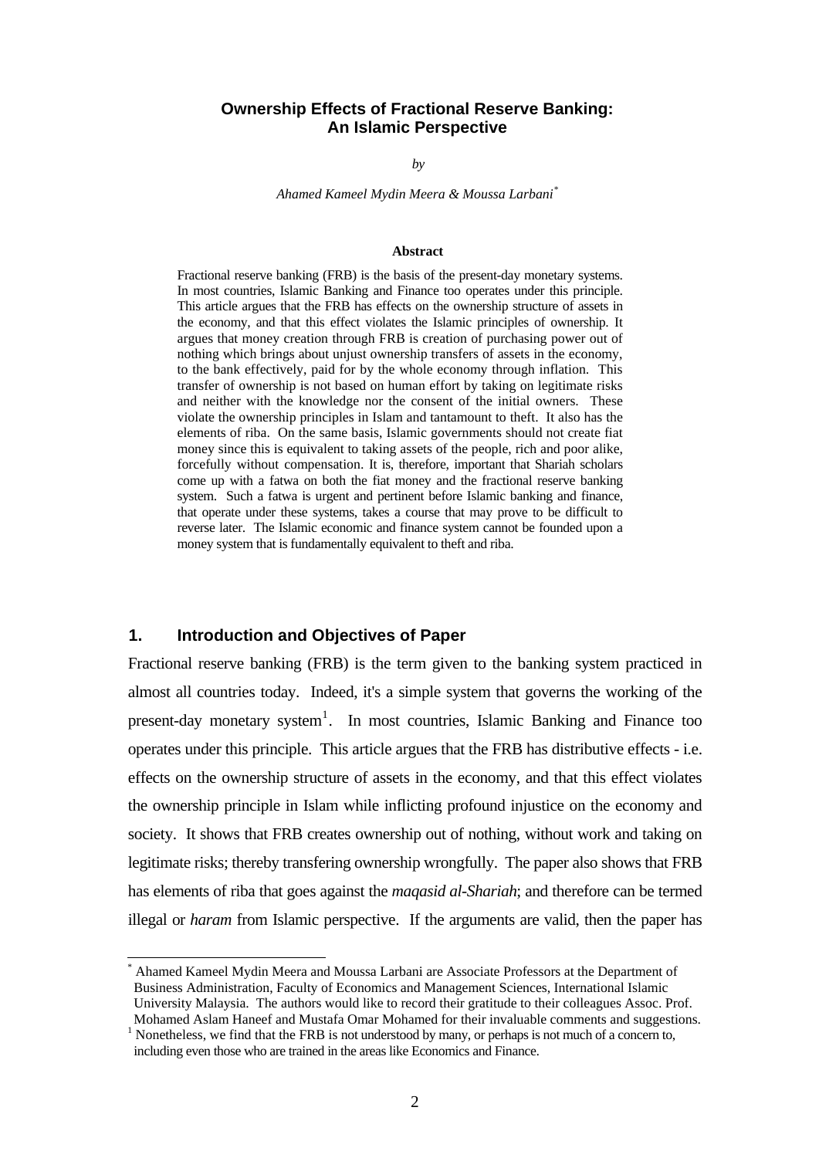#### **Ownership Effects of Fractional Reserve Banking: An Islamic Perspective**

*by*

*Ahamed Kameel Mydin Meera & Moussa Larbani[\\*](#page-1-0)*

#### **Abstract**

Fractional reserve banking (FRB) is the basis of the present-day monetary systems. In most countries, Islamic Banking and Finance too operates under this principle. This article argues that the FRB has effects on the ownership structure of assets in the economy, and that this effect violates the Islamic principles of ownership. It argues that money creation through FRB is creation of purchasing power out of nothing which brings about unjust ownership transfers of assets in the economy, to the bank effectively, paid for by the whole economy through inflation. This transfer of ownership is not based on human effort by taking on legitimate risks and neither with the knowledge nor the consent of the initial owners. These violate the ownership principles in Islam and tantamount to theft. It also has the elements of riba. On the same basis, Islamic governments should not create fiat money since this is equivalent to taking assets of the people, rich and poor alike, forcefully without compensation. It is, therefore, important that Shariah scholars come up with a fatwa on both the fiat money and the fractional reserve banking system. Such a fatwa is urgent and pertinent before Islamic banking and finance, that operate under these systems, takes a course that may prove to be difficult to reverse later. The Islamic economic and finance system cannot be founded upon a money system that is fundamentally equivalent to theft and riba.

### **1. Introduction and Objectives of Paper**

l

Fractional reserve banking (FRB) is the term given to the banking system practiced in almost all countries today. Indeed, it's a simple system that governs the working of the present-day monetary system<sup>[1](#page-1-1)</sup>. In most countries, Islamic Banking and Finance too operates under this principle. This article argues that the FRB has distributive effects - i.e. effects on the ownership structure of assets in the economy, and that this effect violates the ownership principle in Islam while inflicting profound injustice on the economy and society. It shows that FRB creates ownership out of nothing, without work and taking on legitimate risks; thereby transfering ownership wrongfully. The paper also shows that FRB has elements of riba that goes against the *maqasid al-Shariah*; and therefore can be termed illegal or *haram* from Islamic perspective. If the arguments are valid, then the paper has

<span id="page-1-0"></span><sup>\*</sup> Ahamed Kameel Mydin Meera and Moussa Larbani are Associate Professors at the Department of Business Administration, Faculty of Economics and Management Sciences, International Islamic University Malaysia. The authors would like to record their gratitude to their colleagues Assoc. Prof. Mohamed Aslam Haneef and Mustafa Omar Mohamed for their invaluable comments and suggestions. 1

<span id="page-1-1"></span> $<sup>1</sup>$  Nonetheless, we find that the FRB is not understood by many, or perhaps is not much of a concern to,</sup> including even those who are trained in the areas like Economics and Finance.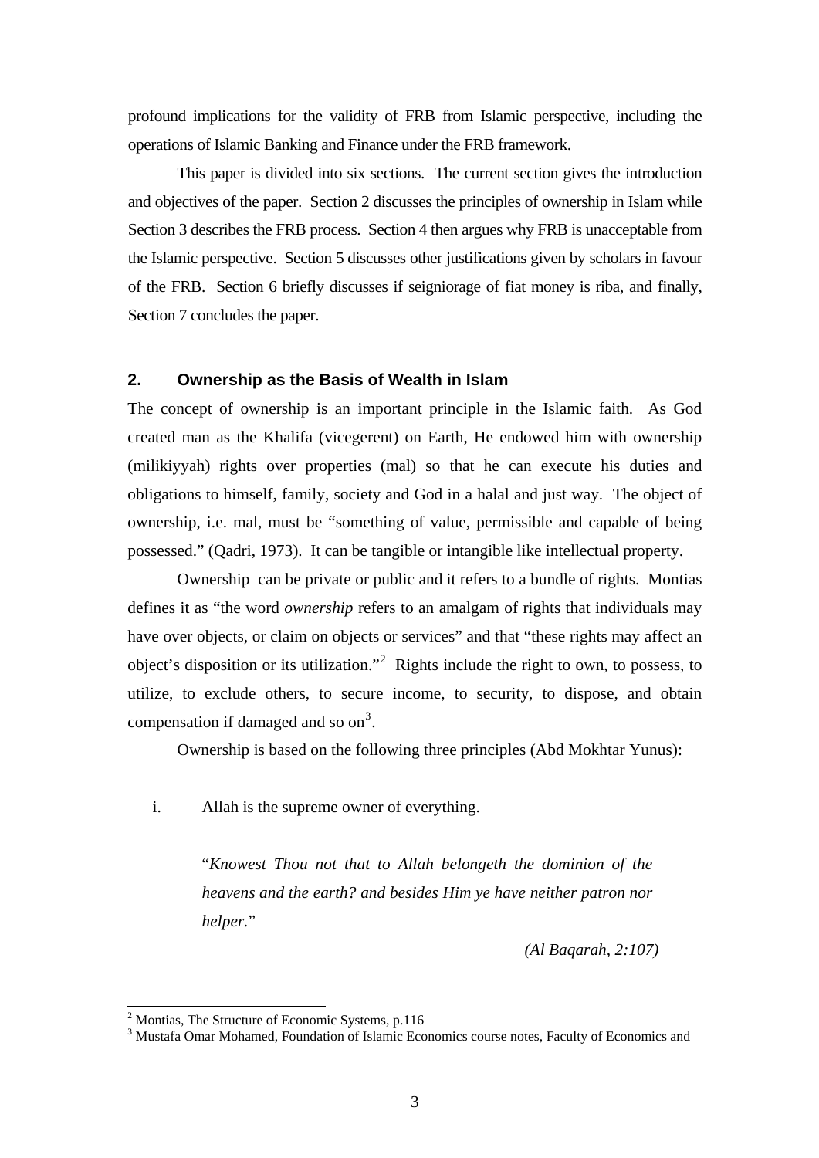profound implications for the validity of FRB from Islamic perspective, including the operations of Islamic Banking and Finance under the FRB framework.

This paper is divided into six sections. The current section gives the introduction and objectives of the paper. Section 2 discusses the principles of ownership in Islam while Section 3 describes the FRB process. Section 4 then argues why FRB is unacceptable from the Islamic perspective. Section 5 discusses other justifications given by scholars in favour of the FRB. Section 6 briefly discusses if seigniorage of fiat money is riba, and finally, Section 7 concludes the paper.

## **2. Ownership as the Basis of Wealth in Islam**

The concept of ownership is an important principle in the Islamic faith. As God created man as the Khalifa (vicegerent) on Earth, He endowed him with ownership (milikiyyah) rights over properties (mal) so that he can execute his duties and obligations to himself, family, society and God in a halal and just way. The object of ownership, i.e. mal, must be "something of value, permissible and capable of being possessed." (Qadri, 1973). It can be tangible or intangible like intellectual property.

 Ownership can be private or public and it refers to a bundle of rights. Montias defines it as "the word *ownership* refers to an amalgam of rights that individuals may have over objects, or claim on objects or services" and that "these rights may affect an object's disposition or its utilization."<sup>[2](#page-2-0)</sup> Rights include the right to own, to possess, to utilize, to exclude others, to secure income, to security, to dispose, and obtain compensation if damaged and so on<sup>[3](#page-2-1)</sup>.

Ownership is based on the following three principles (Abd Mokhtar Yunus):

i. Allah is the supreme owner of everything.

"*Knowest Thou not that to Allah belongeth the dominion of the heavens and the earth? and besides Him ye have neither patron nor helper.*"

*(Al Baqarah, 2:107)*

<span id="page-2-0"></span><sup>&</sup>lt;sup>2</sup> Montias, The Structure of Economic Systems, p.116

<span id="page-2-1"></span><sup>&</sup>lt;sup>3</sup> Mustafa Omar Mohamed, Foundation of Islamic Economics course notes, Faculty of Economics and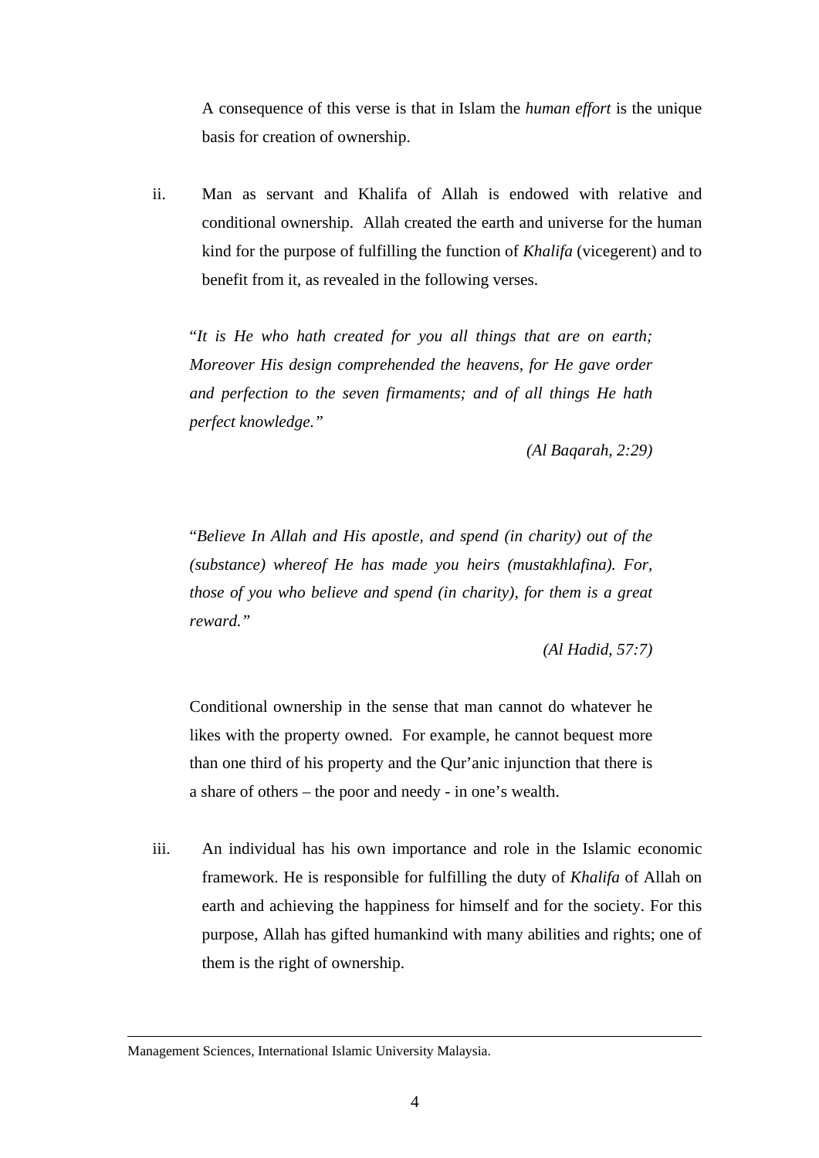A consequence of this verse is that in Islam the *human effort* is the unique basis for creation of ownership.

ii. Man as servant and Khalifa of Allah is endowed with relative and conditional ownership. Allah created the earth and universe for the human kind for the purpose of fulfilling the function of *Khalifa* (vicegerent) and to benefit from it, as revealed in the following verses.

"*It is He who hath created for you all things that are on earth; Moreover His design comprehended the heavens, for He gave order and perfection to the seven firmaments; and of all things He hath perfect knowledge."* 

*(Al Baqarah, 2:29)*

"*Believe In Allah and His apostle, and spend (in charity) out of the (substance) whereof He has made you heirs (mustakhlafina). For, those of you who believe and spend (in charity), for them is a great reward."* 

*(Al Hadid, 57:7)* 

Conditional ownership in the sense that man cannot do whatever he likes with the property owned. For example, he cannot bequest more than one third of his property and the Qur'anic injunction that there is a share of others – the poor and needy - in one's wealth.

iii. An individual has his own importance and role in the Islamic economic framework. He is responsible for fulfilling the duty of *Khalifa* of Allah on earth and achieving the happiness for himself and for the society. For this purpose, Allah has gifted humankind with many abilities and rights; one of them is the right of ownership.

l

Management Sciences, International Islamic University Malaysia.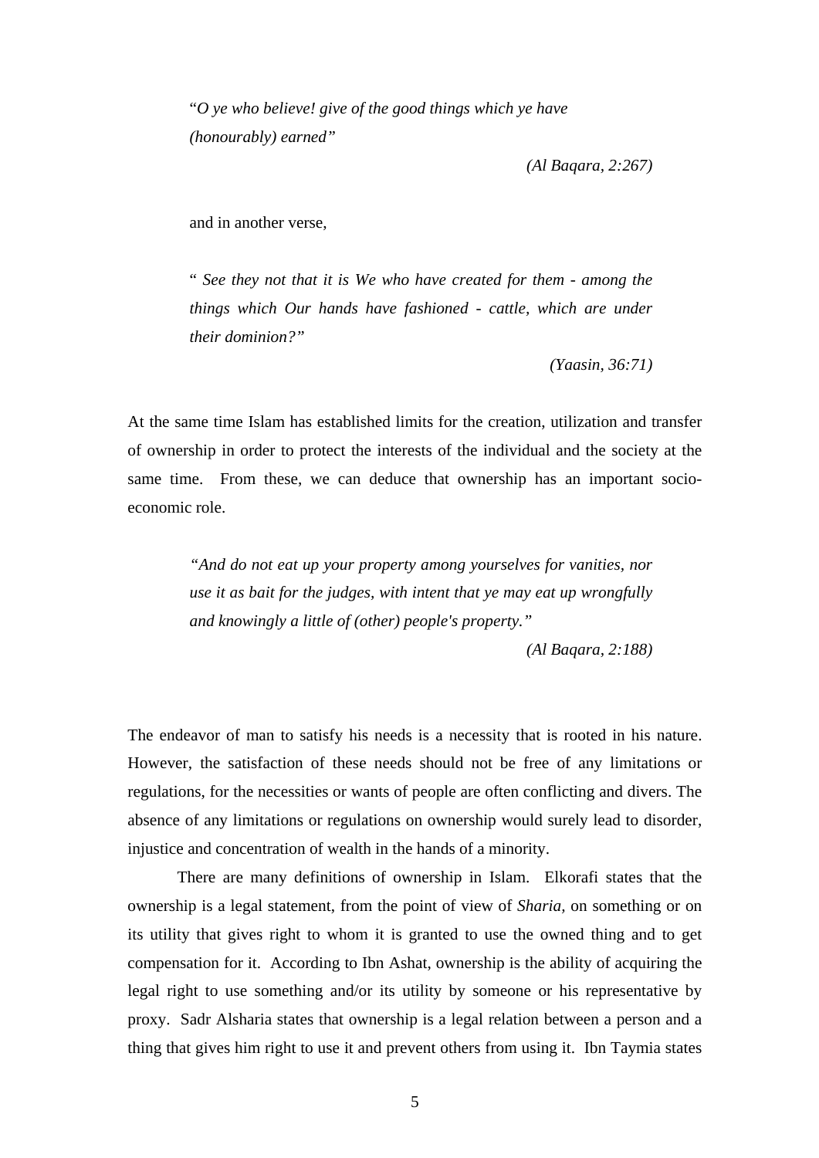"*O ye who believe! give of the good things which ye have (honourably) earned"* 

*(Al Baqara, 2:267)* 

and in another verse,

" *See they not that it is We who have created for them - among the things which Our hands have fashioned - cattle, which are under their dominion?"* 

*(Yaasin, 36:71)* 

At the same time Islam has established limits for the creation, utilization and transfer of ownership in order to protect the interests of the individual and the society at the same time. From these, we can deduce that ownership has an important socioeconomic role.

> *"And do not eat up your property among yourselves for vanities, nor use it as bait for the judges, with intent that ye may eat up wrongfully and knowingly a little of (other) people's property."*

> > *(Al Baqara, 2:188)*

The endeavor of man to satisfy his needs is a necessity that is rooted in his nature. However, the satisfaction of these needs should not be free of any limitations or regulations, for the necessities or wants of people are often conflicting and divers. The absence of any limitations or regulations on ownership would surely lead to disorder, injustice and concentration of wealth in the hands of a minority.

There are many definitions of ownership in Islam. Elkorafi states that the ownership is a legal statement, from the point of view of *Sharia,* on something or on its utility that gives right to whom it is granted to use the owned thing and to get compensation for it. According to Ibn Ashat, ownership is the ability of acquiring the legal right to use something and/or its utility by someone or his representative by proxy. Sadr Alsharia states that ownership is a legal relation between a person and a thing that gives him right to use it and prevent others from using it. Ibn Taymia states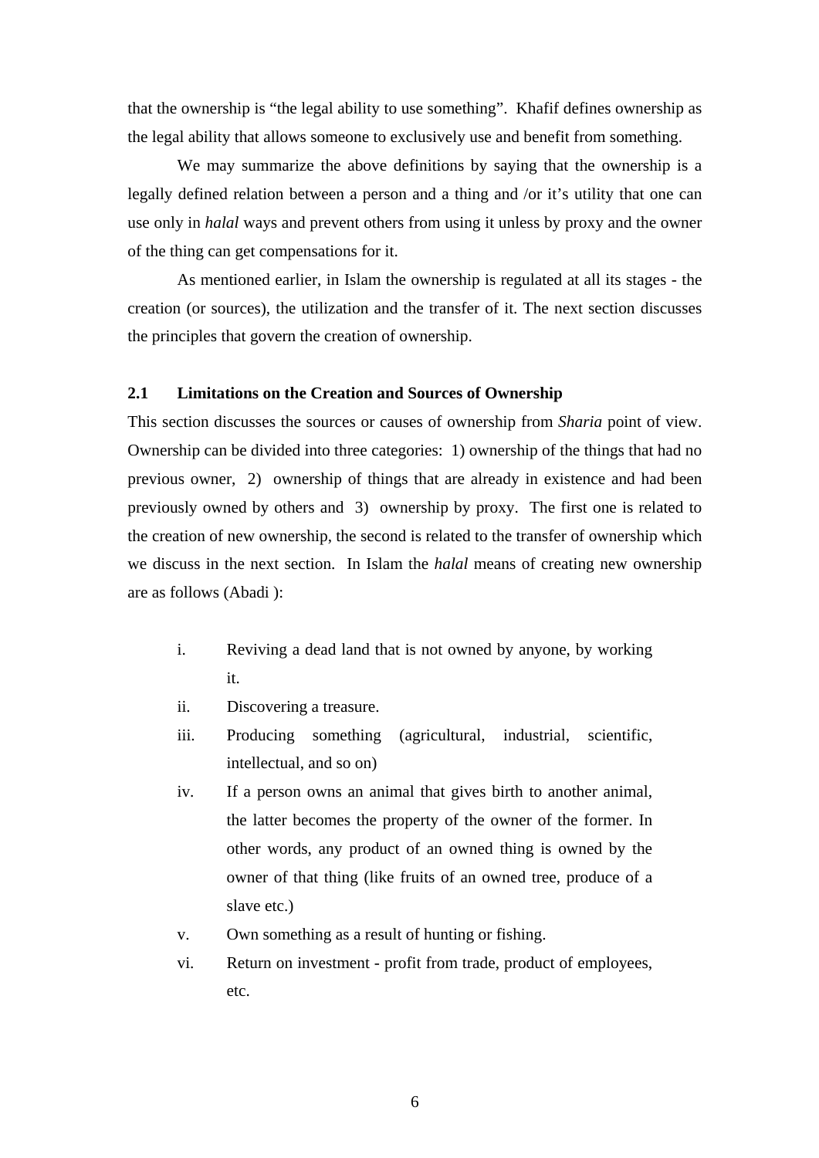that the ownership is "the legal ability to use something". Khafif defines ownership as the legal ability that allows someone to exclusively use and benefit from something.

We may summarize the above definitions by saying that the ownership is a legally defined relation between a person and a thing and /or it's utility that one can use only in *halal* ways and prevent others from using it unless by proxy and the owner of the thing can get compensations for it.

As mentioned earlier, in Islam the ownership is regulated at all its stages - the creation (or sources), the utilization and the transfer of it. The next section discusses the principles that govern the creation of ownership.

## **2.1 Limitations on the Creation and Sources of Ownership**

This section discusses the sources or causes of ownership from *Sharia* point of view. Ownership can be divided into three categories: 1) ownership of the things that had no previous owner, 2) ownership of things that are already in existence and had been previously owned by others and 3) ownership by proxy. The first one is related to the creation of new ownership, the second is related to the transfer of ownership which we discuss in the next section. In Islam the *halal* means of creating new ownership are as follows (Abadi ):

- i. Reviving a dead land that is not owned by anyone, by working it.
- ii. Discovering a treasure.
- iii. Producing something (agricultural, industrial, scientific, intellectual, and so on)
- iv. If a person owns an animal that gives birth to another animal, the latter becomes the property of the owner of the former. In other words, any product of an owned thing is owned by the owner of that thing (like fruits of an owned tree, produce of a slave etc.)
- v. Own something as a result of hunting or fishing.
- vi. Return on investment profit from trade, product of employees, etc.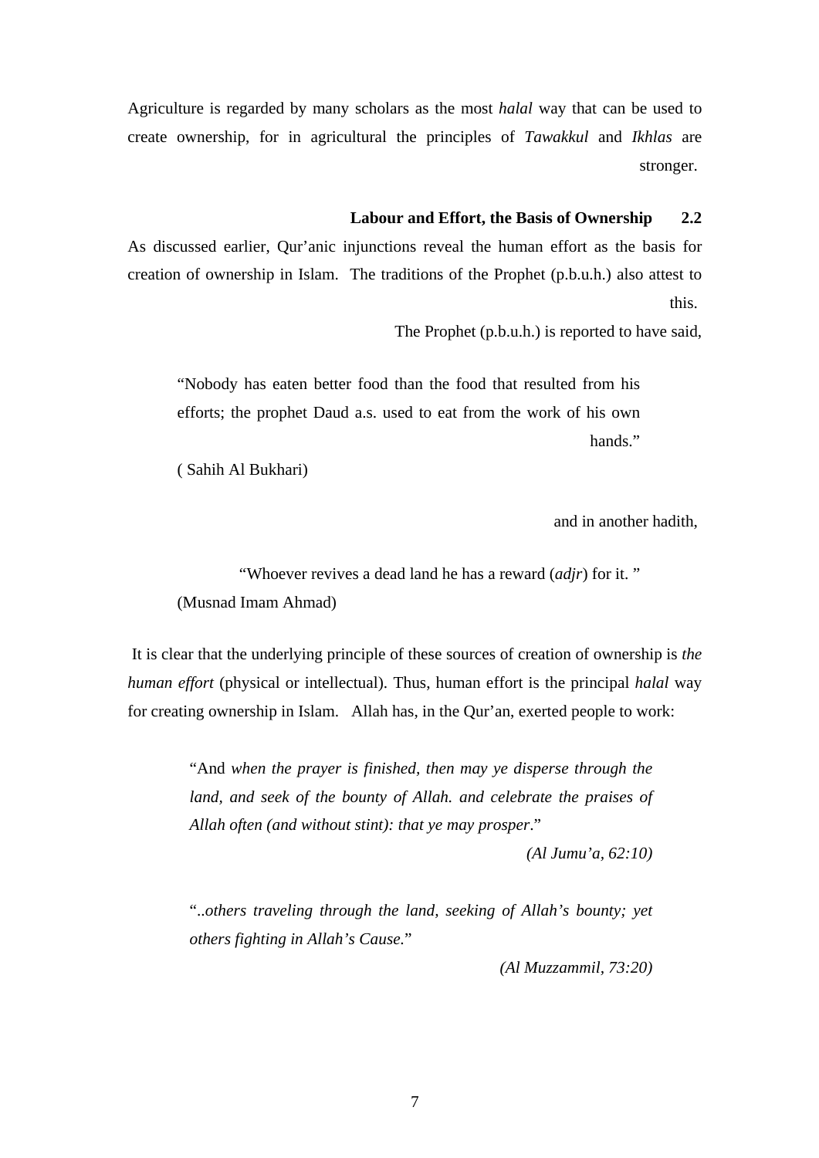Agriculture is regarded by many scholars as the most *halal* way that can be used to create ownership, for in agricultural the principles of *Tawakkul* and *Ikhlas* are stronger.

### **Labour and Effort, the Basis of Ownership 2.2**

As discussed earlier, Qur'anic injunctions reveal the human effort as the basis for creation of ownership in Islam. The traditions of the Prophet (p.b.u.h.) also attest to this.

The Prophet (p.b.u.h.) is reported to have said,

"Nobody has eaten better food than the food that resulted from his efforts; the prophet Daud a.s. used to eat from the work of his own hands."

( Sahih Al Bukhari)

and in another hadith,

"Whoever revives a dead land he has a reward (*adjr*) for it. " (Musnad Imam Ahmad)

 It is clear that the underlying principle of these sources of creation of ownership is *the human effort* (physical or intellectual). Thus, human effort is the principal *halal* way for creating ownership in Islam. Allah has, in the Qur'an, exerted people to work:

> "And *when the prayer is finished, then may ye disperse through the land, and seek of the bounty of Allah. and celebrate the praises of Allah often (and without stint): that ye may prosper*."

> > *(Al Jumu'a, 62:10)*

"..*others traveling through the land, seeking of Allah's bounty; yet others fighting in Allah's Cause.*"

*(Al Muzzammil, 73:20)*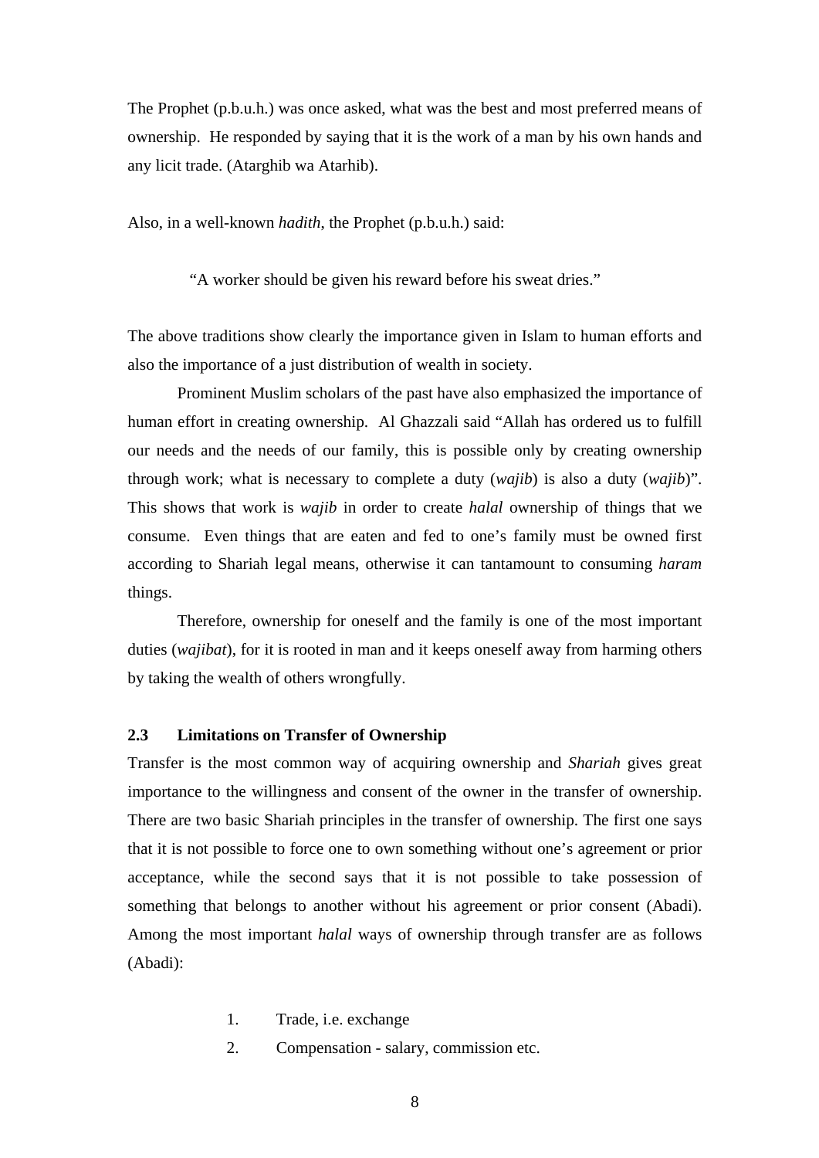The Prophet (p.b.u.h.) was once asked, what was the best and most preferred means of ownership. He responded by saying that it is the work of a man by his own hands and any licit trade. (Atarghib wa Atarhib).

Also, in a well-known *hadith*, the Prophet (p.b.u.h.) said:

"A worker should be given his reward before his sweat dries."

The above traditions show clearly the importance given in Islam to human efforts and also the importance of a just distribution of wealth in society.

Prominent Muslim scholars of the past have also emphasized the importance of human effort in creating ownership. Al Ghazzali said "Allah has ordered us to fulfill our needs and the needs of our family, this is possible only by creating ownership through work; what is necessary to complete a duty (*wajib*) is also a duty (*wajib*)". This shows that work is *wajib* in order to create *halal* ownership of things that we consume. Even things that are eaten and fed to one's family must be owned first according to Shariah legal means, otherwise it can tantamount to consuming *haram* things.

Therefore, ownership for oneself and the family is one of the most important duties (*wajibat*), for it is rooted in man and it keeps oneself away from harming others by taking the wealth of others wrongfully.

### **2.3 Limitations on Transfer of Ownership**

Transfer is the most common way of acquiring ownership and *Shariah* gives great importance to the willingness and consent of the owner in the transfer of ownership. There are two basic Shariah principles in the transfer of ownership. The first one says that it is not possible to force one to own something without one's agreement or prior acceptance, while the second says that it is not possible to take possession of something that belongs to another without his agreement or prior consent (Abadi). Among the most important *halal* ways of ownership through transfer are as follows (Abadi):

- 1. Trade, i.e. exchange
- 2. Compensation salary, commission etc.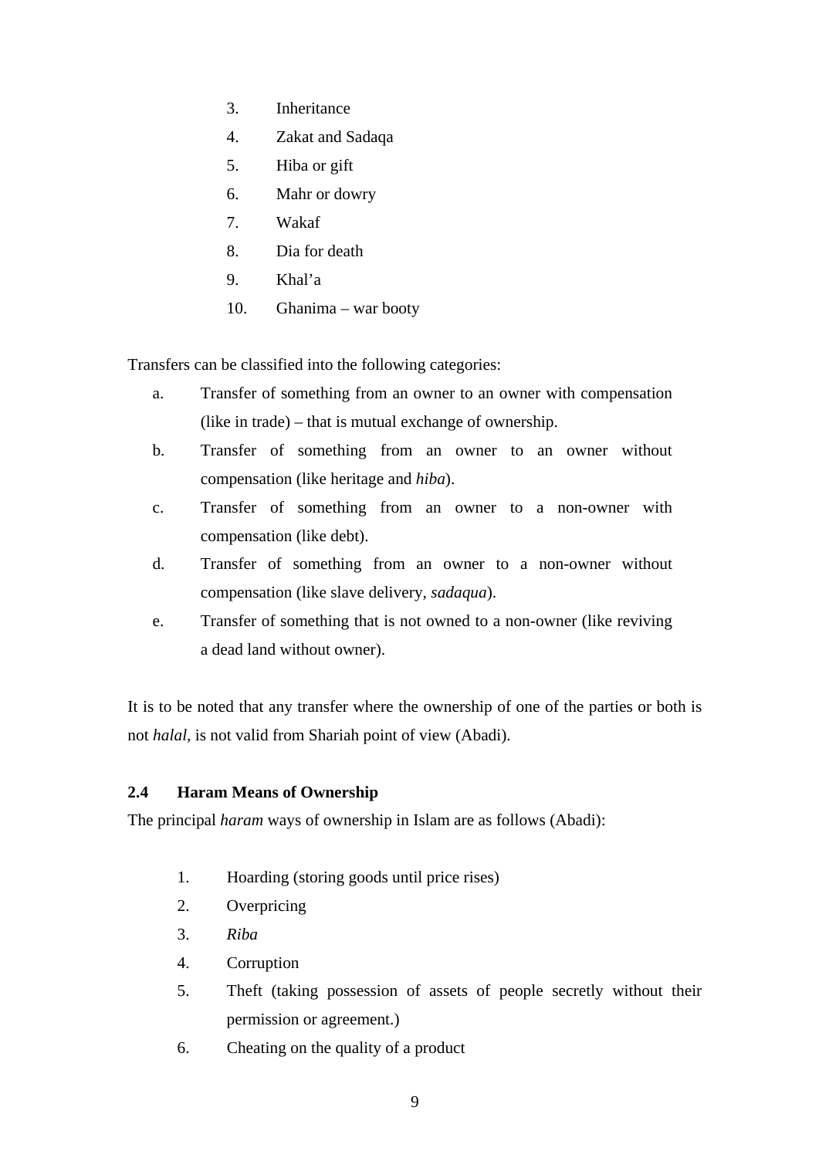- 3. Inheritance
- 4. Zakat and Sadaqa
- 5. Hiba or gift
- 6. Mahr or dowry
- 7. Wakaf
- 8. Dia for death
- 9. Khal'a
- 10. Ghanima war booty

Transfers can be classified into the following categories:

- a. Transfer of something from an owner to an owner with compensation (like in trade) – that is mutual exchange of ownership.
- b. Transfer of something from an owner to an owner without compensation (like heritage and *hiba*).
- c. Transfer of something from an owner to a non-owner with compensation (like debt).
- d. Transfer of something from an owner to a non-owner without compensation (like slave delivery, *sadaqua*).
- e. Transfer of something that is not owned to a non-owner (like reviving a dead land without owner).

It is to be noted that any transfer where the ownership of one of the parties or both is not *halal,* is not valid from Shariah point of view (Abadi).

# **2.4 Haram Means of Ownership**

The principal *haram* ways of ownership in Islam are as follows (Abadi):

- 1. Hoarding (storing goods until price rises)
- 2. Overpricing
- 3. *Riba*
- 4. Corruption
- 5. Theft (taking possession of assets of people secretly without their permission or agreement.)
- 6. Cheating on the quality of a product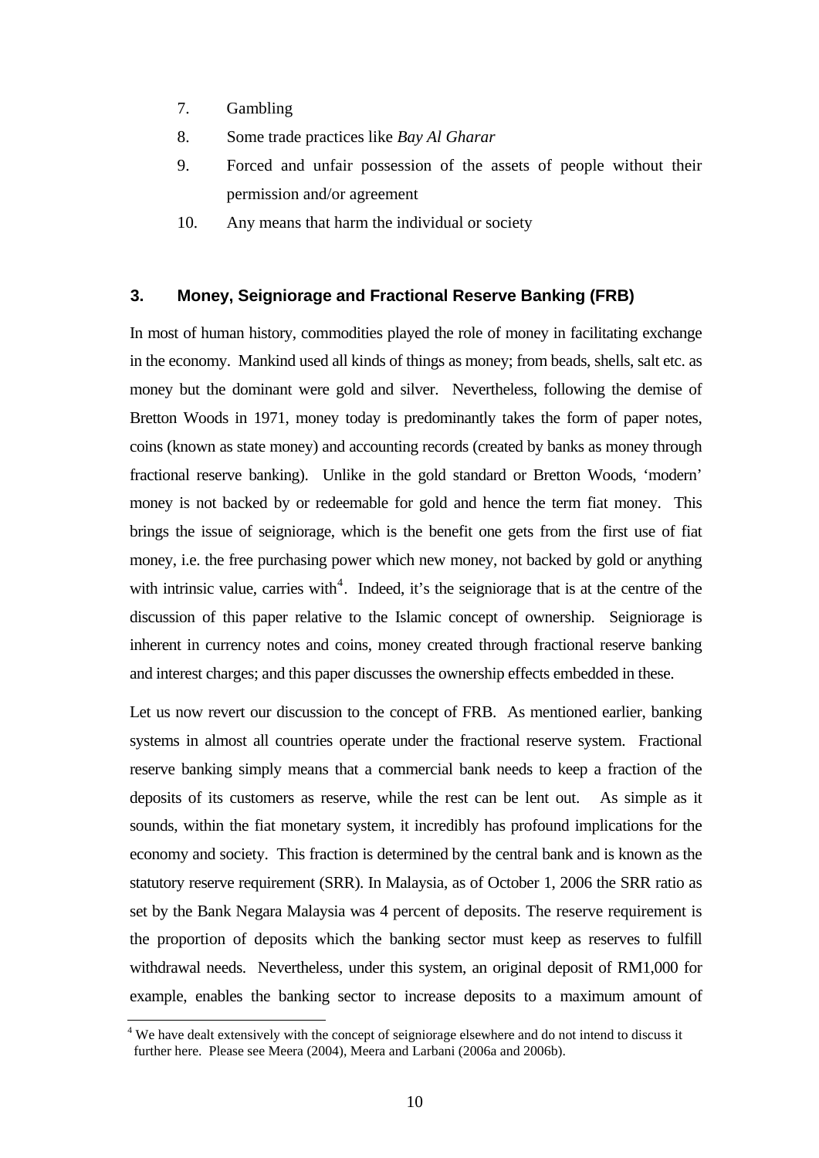- 7. Gambling
- 8. Some trade practices like *Bay Al Gharar*
- 9. Forced and unfair possession of the assets of people without their permission and/or agreement
- 10. Any means that harm the individual or society

#### **3. Money, Seigniorage and Fractional Reserve Banking (FRB)**

In most of human history, commodities played the role of money in facilitating exchange in the economy. Mankind used all kinds of things as money; from beads, shells, salt etc. as money but the dominant were gold and silver. Nevertheless, following the demise of Bretton Woods in 1971, money today is predominantly takes the form of paper notes, coins (known as state money) and accounting records (created by banks as money through fractional reserve banking). Unlike in the gold standard or Bretton Woods, 'modern' money is not backed by or redeemable for gold and hence the term fiat money. This brings the issue of seigniorage, which is the benefit one gets from the first use of fiat money, i.e. the free purchasing power which new money, not backed by gold or anything with intrinsic value, carries with<sup>[4](#page-9-0)</sup>. Indeed, it's the seigniorage that is at the centre of the discussion of this paper relative to the Islamic concept of ownership. Seigniorage is inherent in currency notes and coins, money created through fractional reserve banking and interest charges; and this paper discusses the ownership effects embedded in these.

Let us now revert our discussion to the concept of FRB. As mentioned earlier, banking systems in almost all countries operate under the fractional reserve system. Fractional reserve banking simply means that a commercial bank needs to keep a fraction of the deposits of its customers as reserve, while the rest can be lent out. As simple as it sounds, within the fiat monetary system, it incredibly has profound implications for the economy and society. This fraction is determined by the central bank and is known as the statutory reserve requirement (SRR). In Malaysia, as of October 1, 2006 the SRR ratio as set by the Bank Negara Malaysia was 4 percent of deposits. The reserve requirement is the proportion of deposits which the banking sector must keep as reserves to fulfill withdrawal needs. Nevertheless, under this system, an original deposit of RM1,000 for example, enables the banking sector to increase deposits to a maximum amount of

<span id="page-9-0"></span> 4 We have dealt extensively with the concept of seigniorage elsewhere and do not intend to discuss it further here. Please see Meera (2004), Meera and Larbani (2006a and 2006b).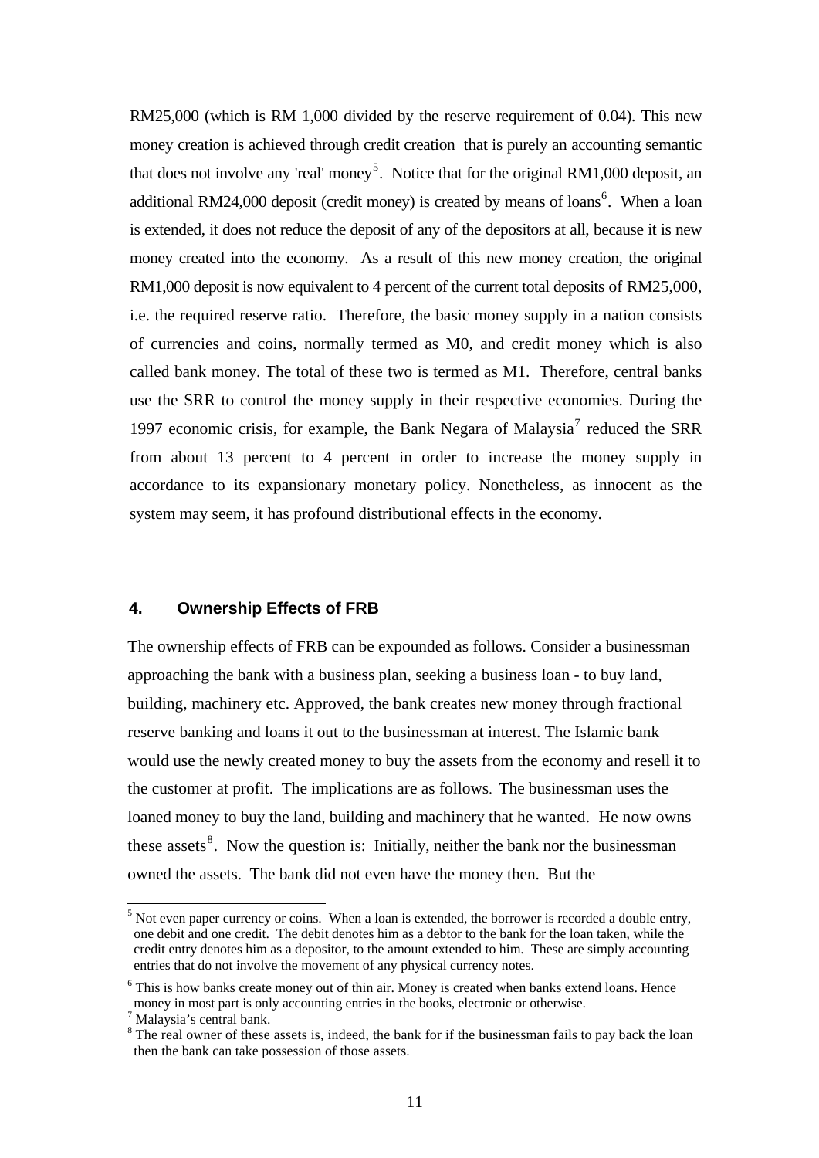RM25,000 (which is RM 1,000 divided by the reserve requirement of 0.04). This new money creation is achieved through credit creation that is purely an accounting semantic that does not involve any 'real' money<sup>[5](#page-10-0)</sup>. Notice that for the original RM1,000 deposit, an additional RM24,000 deposit (credit money) is created by means of loans<sup>[6](#page-10-1)</sup>. When a loan is extended, it does not reduce the deposit of any of the depositors at all, because it is new money created into the economy. As a result of this new money creation, the original RM1,000 deposit is now equivalent to 4 percent of the current total deposits of RM25,000, i.e. the required reserve ratio. Therefore, the basic money supply in a nation consists of currencies and coins, normally termed as M0, and credit money which is also called bank money. The total of these two is termed as M1. Therefore, central banks use the SRR to control the money supply in their respective economies. During the 199[7](#page-10-2) economic crisis, for example, the Bank Negara of Malaysia<sup>7</sup> reduced the SRR from about 13 percent to 4 percent in order to increase the money supply in accordance to its expansionary monetary policy. Nonetheless, as innocent as the system may seem, it has profound distributional effects in the economy.

## **4. Ownership Effects of FRB**

The ownership effects of FRB can be expounded as follows. Consider a businessman approaching the bank with a business plan, seeking a business loan - to buy land, building, machinery etc. Approved, the bank creates new money through fractional reserve banking and loans it out to the businessman at interest. The Islamic bank would use the newly created money to buy the assets from the economy and resell it to the customer at profit. The implications are as follows. The businessman uses the loaned money to buy the land, building and machinery that he wanted. He now owns these assets<sup>[8](#page-10-3)</sup>. Now the question is: Initially, neither the bank nor the businessman owned the assets. The bank did not even have the money then. But the

l

<span id="page-10-0"></span> $<sup>5</sup>$  Not even paper currency or coins. When a loan is extended, the borrower is recorded a double entry,</sup> one debit and one credit. The debit denotes him as a debtor to the bank for the loan taken, while the credit entry denotes him as a depositor, to the amount extended to him. These are simply accounting entries that do not involve the movement of any physical currency notes.

<span id="page-10-1"></span><sup>&</sup>lt;sup>6</sup> This is how banks create money out of thin air. Money is created when banks extend loans. Hence money in most part is only accounting entries in the books, electronic or otherwise.

<span id="page-10-2"></span><sup>7</sup> Malaysia's central bank.

<span id="page-10-3"></span><sup>&</sup>lt;sup>8</sup> The real owner of these assets is, indeed, the bank for if the businessman fails to pay back the loan then the bank can take possession of those assets.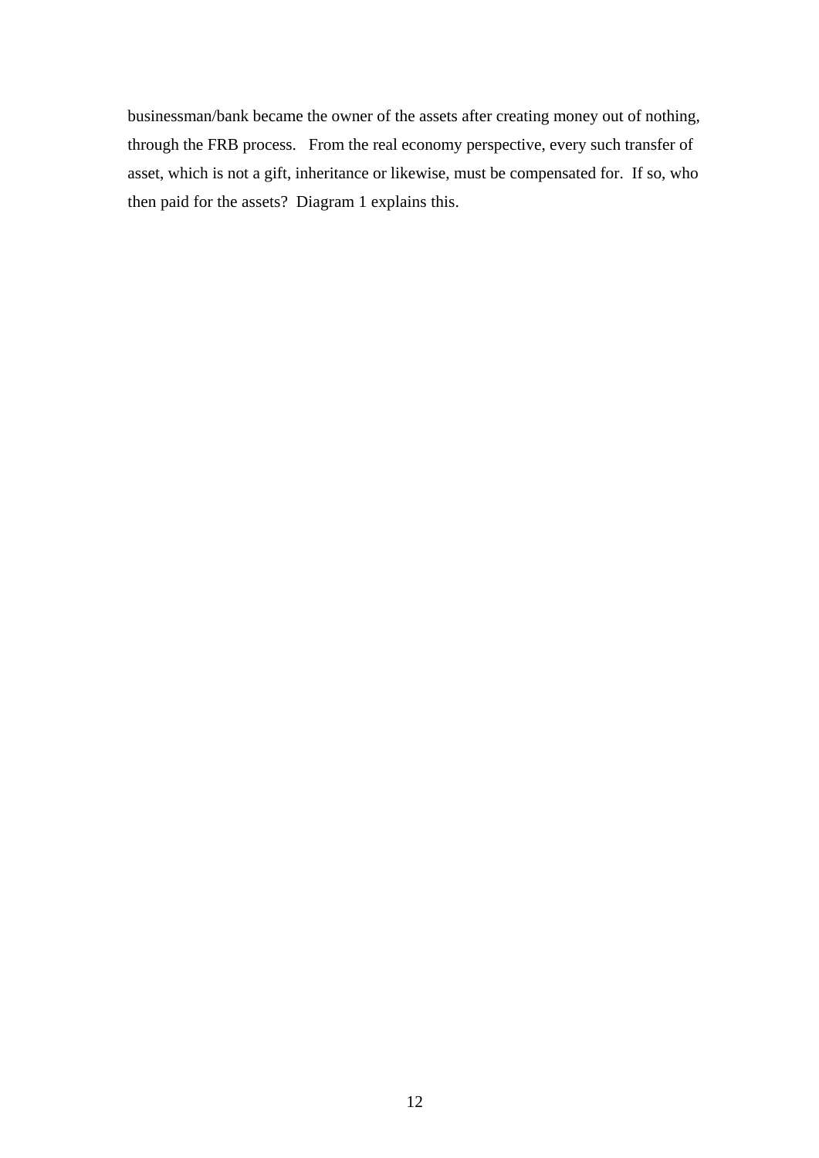businessman/bank became the owner of the assets after creating money out of nothing, through the FRB process. From the real economy perspective, every such transfer of asset, which is not a gift, inheritance or likewise, must be compensated for. If so, who then paid for the assets? Diagram 1 explains this.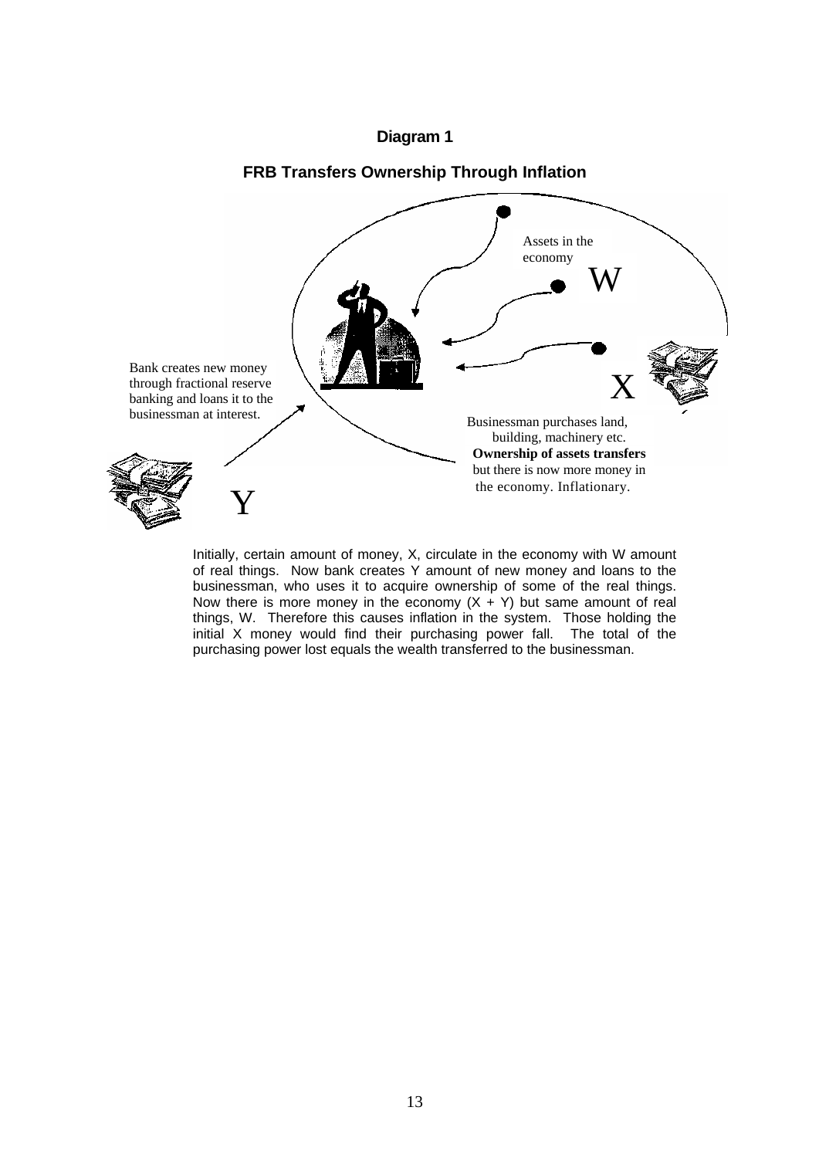### **Diagram 1**

### **FRB Transfers Ownership Through Inflation**



Initially, certain amount of money, X, circulate in the economy with W amount of real things. Now bank creates Y amount of new money and loans to the businessman, who uses it to acquire ownership of some of the real things. Now there is more money in the economy  $(X + Y)$  but same amount of real things, W. Therefore this causes inflation in the system. Those holding the initial X money would find their purchasing power fall. The total of the purchasing power lost equals the wealth transferred to the businessman.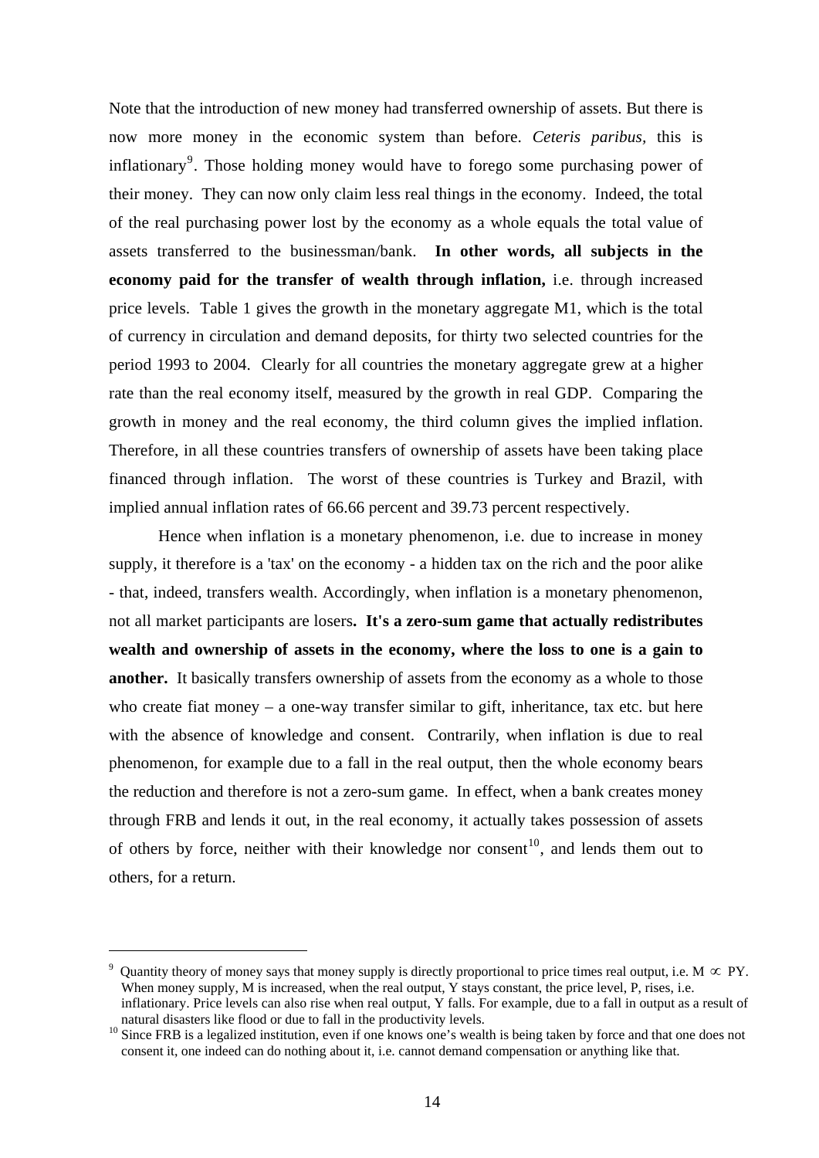Note that the introduction of new money had transferred ownership of assets. But there is now more money in the economic system than before. *Ceteris paribus,* this is inflationary<sup>[9](#page-13-0)</sup>. Those holding money would have to forego some purchasing power of their money. They can now only claim less real things in the economy. Indeed, the total of the real purchasing power lost by the economy as a whole equals the total value of assets transferred to the businessman/bank. **In other words, all subjects in the economy paid for the transfer of wealth through inflation,** i.e. through increased price levels. Table 1 gives the growth in the monetary aggregate M1, which is the total of currency in circulation and demand deposits, for thirty two selected countries for the period 1993 to 2004. Clearly for all countries the monetary aggregate grew at a higher rate than the real economy itself, measured by the growth in real GDP. Comparing the growth in money and the real economy, the third column gives the implied inflation. Therefore, in all these countries transfers of ownership of assets have been taking place financed through inflation. The worst of these countries is Turkey and Brazil, with implied annual inflation rates of 66.66 percent and 39.73 percent respectively.

Hence when inflation is a monetary phenomenon, i.e. due to increase in money supply, it therefore is a 'tax' on the economy - a hidden tax on the rich and the poor alike - that, indeed, transfers wealth. Accordingly, when inflation is a monetary phenomenon, not all market participants are losers**. It's a zero-sum game that actually redistributes wealth and ownership of assets in the economy, where the loss to one is a gain to another.** It basically transfers ownership of assets from the economy as a whole to those who create fiat money  $-$  a one-way transfer similar to gift, inheritance, tax etc. but here with the absence of knowledge and consent. Contrarily, when inflation is due to real phenomenon, for example due to a fall in the real output, then the whole economy bears the reduction and therefore is not a zero-sum game. In effect, when a bank creates money through FRB and lends it out, in the real economy, it actually takes possession of assets of others by force, neither with their knowledge nor consent<sup>[10](#page-13-1)</sup>, and lends them out to others, for a return.

<span id="page-13-0"></span><sup>9</sup> Quantity theory of money says that money supply is directly proportional to price times real output, i.e. M  $\propto$  PY. When money supply, M is increased, when the real output, Y stays constant, the price level, P, rises, i.e. inflationary. Price levels can also rise when real output, Y falls. For example, due to a fall in output as a result of

<span id="page-13-1"></span><sup>&</sup>lt;sup>10</sup> Since FRB is a legalized institution, even if one knows one's wealth is being taken by force and that one does not consent it, one indeed can do nothing about it, i.e. cannot demand compensation or anything like that.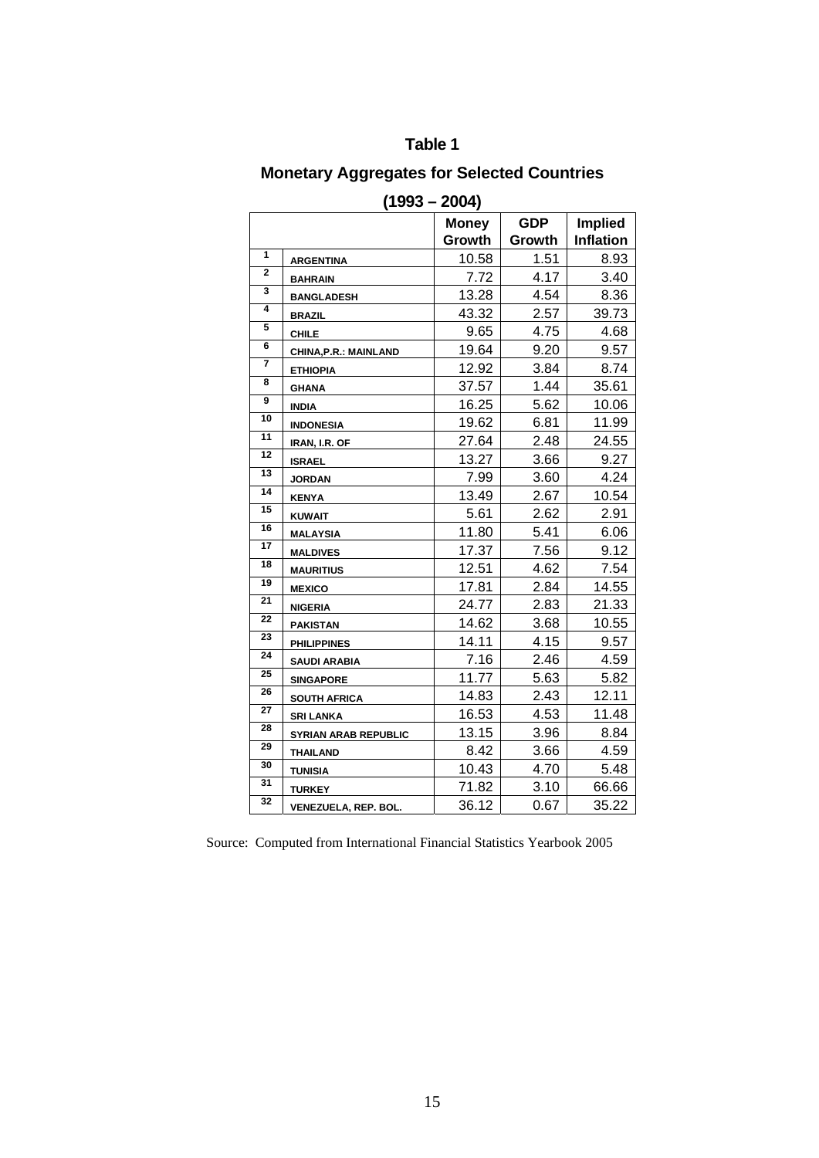# **Table 1**

# **Monetary Aggregates for Selected Countries**

|                 |                              | <b>Money</b> | <b>GDP</b> | <b>Implied</b>   |
|-----------------|------------------------------|--------------|------------|------------------|
|                 |                              | Growth       | Growth     | <b>Inflation</b> |
| 1               | <b>ARGENTINA</b>             | 10.58        | 1.51       | 8.93             |
| $\overline{2}$  | <b>BAHRAIN</b>               | 7.72         | 4.17       | 3.40             |
| 3               | <b>BANGLADESH</b>            | 13.28        | 4.54       | 8.36             |
| 4               | <b>BRAZIL</b>                | 43.32        | 2.57       | 39.73            |
| 5               | <b>CHILE</b>                 | 9.65         | 4.75       | 4.68             |
| 6               | <b>CHINA, P.R.: MAINLAND</b> | 19.64        | 9.20       | 9.57             |
| 7               | <b>ETHIOPIA</b>              | 12.92        | 3.84       | 8.74             |
| 8               | <b>GHANA</b>                 | 37.57        | 1.44       | 35.61            |
| 9               | <b>INDIA</b>                 | 16.25        | 5.62       | 10.06            |
| 10              | <b>INDONESIA</b>             | 19.62        | 6.81       | 11.99            |
| 11              | IRAN, I.R. OF                | 27.64        | 2.48       | 24.55            |
| 12              | <b>ISRAEL</b>                | 13.27        | 3.66       | 9.27             |
| 13              | <b>JORDAN</b>                | 7.99         | 3.60       | 4.24             |
| 14              | <b>KENYA</b>                 | 13.49        | 2.67       | 10.54            |
| 15              | <b>KUWAIT</b>                | 5.61         | 2.62       | 2.91             |
| 16              | <b>MALAYSIA</b>              | 11.80        | 5.41       | 6.06             |
| $\overline{17}$ | <b>MALDIVES</b>              | 17.37        | 7.56       | 9.12             |
| 18              | <b>MAURITIUS</b>             | 12.51        | 4.62       | 7.54             |
| 19              | <b>MEXICO</b>                | 17.81        | 2.84       | 14.55            |
| 21              | <b>NIGERIA</b>               | 24.77        | 2.83       | 21.33            |
| 22              | <b>PAKISTAN</b>              | 14.62        | 3.68       | 10.55            |
| 23              | <b>PHILIPPINES</b>           | 14.11        | 4.15       | 9.57             |
| 24              | <b>SAUDI ARABIA</b>          | 7.16         | 2.46       | 4.59             |
| 25              | <b>SINGAPORE</b>             | 11.77        | 5.63       | 5.82             |
| 26              | <b>SOUTH AFRICA</b>          | 14.83        | 2.43       | 12.11            |
| 27              | <b>SRI LANKA</b>             | 16.53        | 4.53       | 11.48            |
| 28              | <b>SYRIAN ARAB REPUBLIC</b>  | 13.15        | 3.96       | 8.84             |
| 29              | <b>THAILAND</b>              | 8.42         | 3.66       | 4.59             |
| 30              | <b>TUNISIA</b>               | 10.43        | 4.70       | 5.48             |
| 31              | <b>TURKEY</b>                | 71.82        | 3.10       | 66.66            |
| 32              | <b>VENEZUELA, REP. BOL.</b>  | 36.12        | 0.67       | 35.22            |

**(1993 – 2004)** 

Source: Computed from International Financial Statistics Yearbook 2005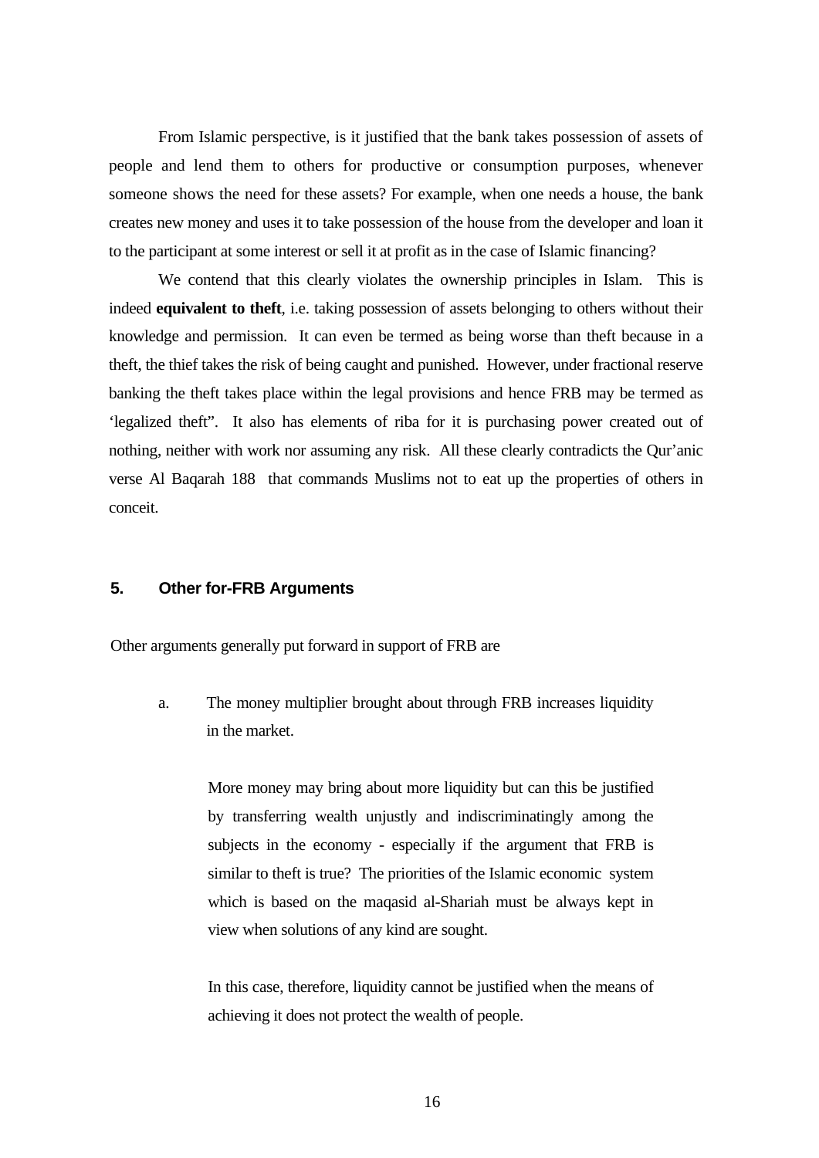From Islamic perspective, is it justified that the bank takes possession of assets of people and lend them to others for productive or consumption purposes, whenever someone shows the need for these assets? For example, when one needs a house, the bank creates new money and uses it to take possession of the house from the developer and loan it to the participant at some interest or sell it at profit as in the case of Islamic financing?

We contend that this clearly violates the ownership principles in Islam. This is indeed **equivalent to theft**, i.e. taking possession of assets belonging to others without their knowledge and permission. It can even be termed as being worse than theft because in a theft, the thief takes the risk of being caught and punished. However, under fractional reserve banking the theft takes place within the legal provisions and hence FRB may be termed as 'legalized theft". It also has elements of riba for it is purchasing power created out of nothing, neither with work nor assuming any risk. All these clearly contradicts the Qur'anic verse Al Baqarah 188 that commands Muslims not to eat up the properties of others in conceit.

### **5. Other for-FRB Arguments**

Other arguments generally put forward in support of FRB are

a. The money multiplier brought about through FRB increases liquidity in the market.

More money may bring about more liquidity but can this be justified by transferring wealth unjustly and indiscriminatingly among the subjects in the economy - especially if the argument that FRB is similar to theft is true? The priorities of the Islamic economic system which is based on the maqasid al-Shariah must be always kept in view when solutions of any kind are sought.

In this case, therefore, liquidity cannot be justified when the means of achieving it does not protect the wealth of people.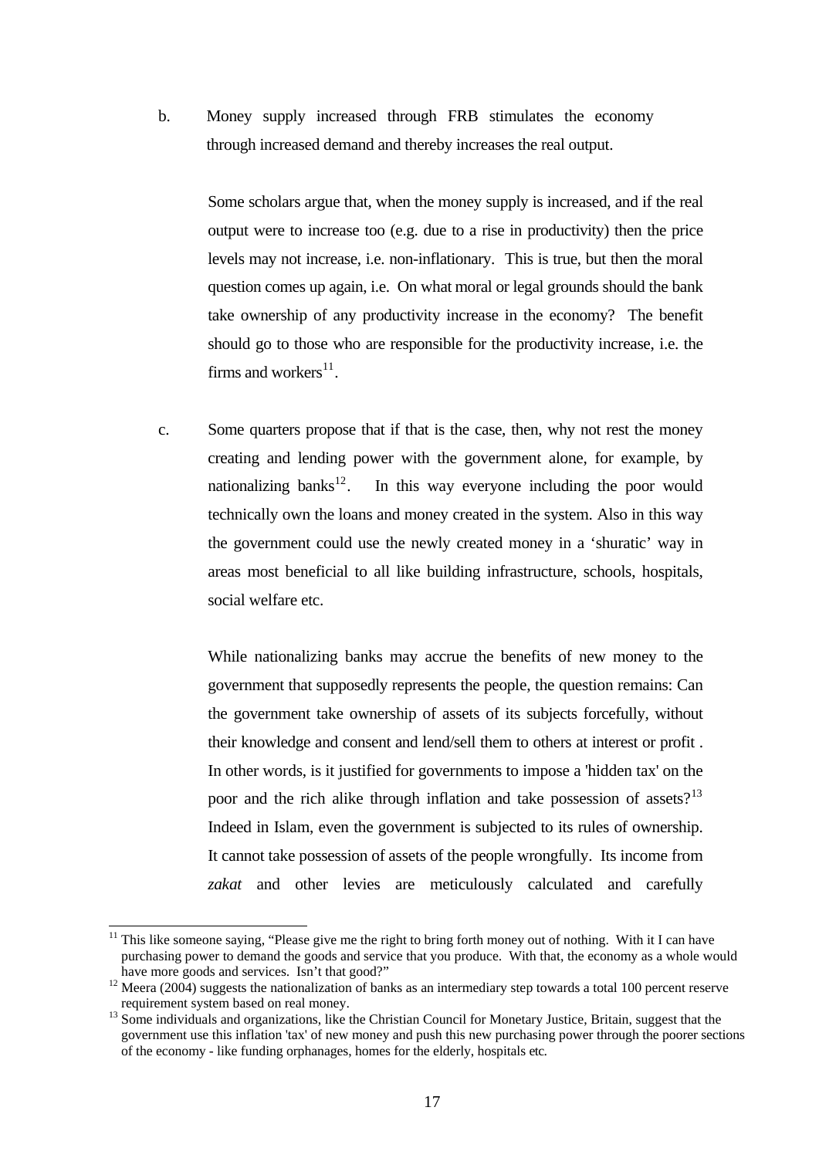b. Money supply increased through FRB stimulates the economy through increased demand and thereby increases the real output.

Some scholars argue that, when the money supply is increased, and if the real output were to increase too (e.g. due to a rise in productivity) then the price levels may not increase, i.e. non-inflationary. This is true, but then the moral question comes up again, i.e. On what moral or legal grounds should the bank take ownership of any productivity increase in the economy? The benefit should go to those who are responsible for the productivity increase, i.e. the firms and workers $^{11}$  $^{11}$  $^{11}$ .

c. Some quarters propose that if that is the case, then, why not rest the money creating and lending power with the government alone, for example, by nationalizing banks<sup>[12](#page-16-1)</sup>. In this way everyone including the poor would technically own the loans and money created in the system. Also in this way the government could use the newly created money in a 'shuratic' way in areas most beneficial to all like building infrastructure, schools, hospitals, social welfare etc.

 While nationalizing banks may accrue the benefits of new money to the government that supposedly represents the people, the question remains: Can the government take ownership of assets of its subjects forcefully, without their knowledge and consent and lend/sell them to others at interest or profit . In other words, is it justified for governments to impose a 'hidden tax' on the poor and the rich alike through inflation and take possession of assets? $13$ Indeed in Islam, even the government is subjected to its rules of ownership. It cannot take possession of assets of the people wrongfully. Its income from *zakat* and other levies are meticulously calculated and carefully

<span id="page-16-0"></span>This like someone saying, "Please give me the right to bring forth money out of nothing. With it I can have purchasing power to demand the goods and service that you produce. With that, the economy as a whole would have more goods and services. Isn't that good?"

<span id="page-16-1"></span> $\frac{12 \text{ Move root}}{12 \text{ Merea (2004)}}$  suggests the nationalization of banks as an intermediary step towards a total 100 percent reserve

<span id="page-16-2"></span>requirement system based on real money.<br><sup>13</sup> Some individuals and organizations, like the Christian Council for Monetary Justice, Britain, suggest that the government use this inflation 'tax' of new money and push this new purchasing power through the poorer sections of the economy - like funding orphanages, homes for the elderly, hospitals etc.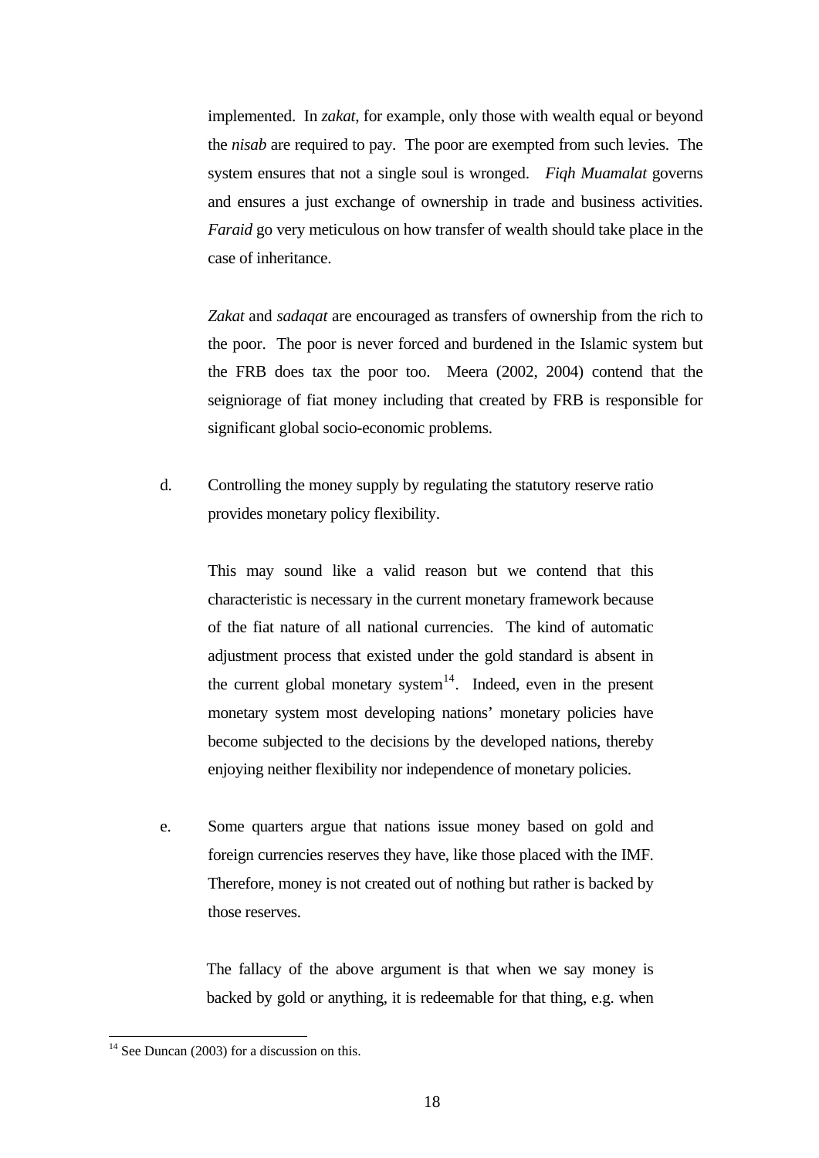implemented. In *zakat*, for example, only those with wealth equal or beyond the *nisab* are required to pay. The poor are exempted from such levies. The system ensures that not a single soul is wronged. *Fiqh Muamalat* governs and ensures a just exchange of ownership in trade and business activities. *Faraid* go very meticulous on how transfer of wealth should take place in the case of inheritance.

*Zakat* and *sadaqat* are encouraged as transfers of ownership from the rich to the poor. The poor is never forced and burdened in the Islamic system but the FRB does tax the poor too. Meera (2002, 2004) contend that the seigniorage of fiat money including that created by FRB is responsible for significant global socio-economic problems.

d. Controlling the money supply by regulating the statutory reserve ratio provides monetary policy flexibility.

This may sound like a valid reason but we contend that this characteristic is necessary in the current monetary framework because of the fiat nature of all national currencies. The kind of automatic adjustment process that existed under the gold standard is absent in the current global monetary system<sup>[14](#page-17-0)</sup>. Indeed, even in the present monetary system most developing nations' monetary policies have become subjected to the decisions by the developed nations, thereby enjoying neither flexibility nor independence of monetary policies.

e. Some quarters argue that nations issue money based on gold and foreign currencies reserves they have, like those placed with the IMF. Therefore, money is not created out of nothing but rather is backed by those reserves.

The fallacy of the above argument is that when we say money is backed by gold or anything, it is redeemable for that thing, e.g. when

<span id="page-17-0"></span> $14$  See Duncan (2003) for a discussion on this.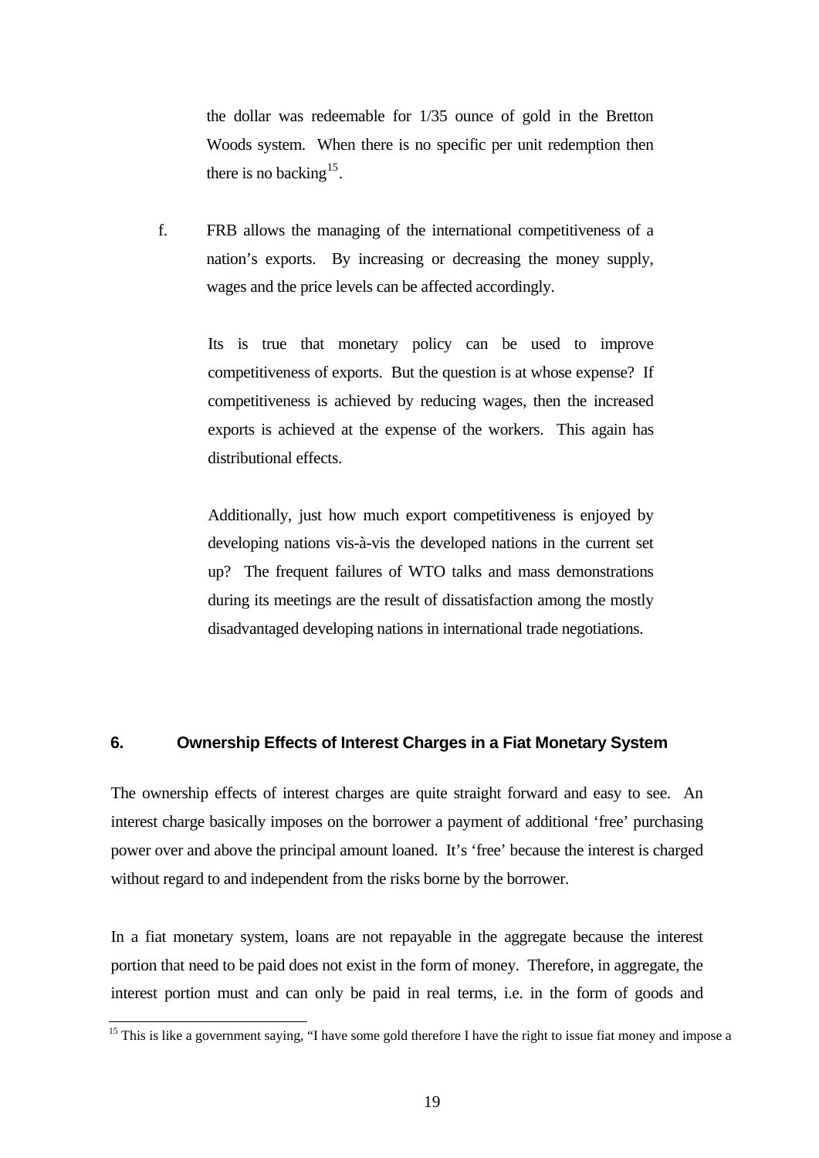the dollar was redeemable for 1/35 ounce of gold in the Bretton Woods system. When there is no specific per unit redemption then there is no backing<sup>[15](#page-18-0)</sup>.

f. FRB allows the managing of the international competitiveness of a nation's exports. By increasing or decreasing the money supply, wages and the price levels can be affected accordingly.

> Its is true that monetary policy can be used to improve competitiveness of exports. But the question is at whose expense? If competitiveness is achieved by reducing wages, then the increased exports is achieved at the expense of the workers. This again has distributional effects.

> Additionally, just how much export competitiveness is enjoyed by developing nations vis-à-vis the developed nations in the current set up? The frequent failures of WTO talks and mass demonstrations during its meetings are the result of dissatisfaction among the mostly disadvantaged developing nations in international trade negotiations.

#### **6. Ownership Effects of Interest Charges in a Fiat Monetary System**

The ownership effects of interest charges are quite straight forward and easy to see. An interest charge basically imposes on the borrower a payment of additional 'free' purchasing power over and above the principal amount loaned. It's 'free' because the interest is charged without regard to and independent from the risks borne by the borrower.

In a fiat monetary system, loans are not repayable in the aggregate because the interest portion that need to be paid does not exist in the form of money. Therefore, in aggregate, the interest portion must and can only be paid in real terms, i.e. in the form of goods and

<span id="page-18-0"></span><sup>&</sup>lt;sup>15</sup> This is like a government saying, "I have some gold therefore I have the right to issue fiat money and impose a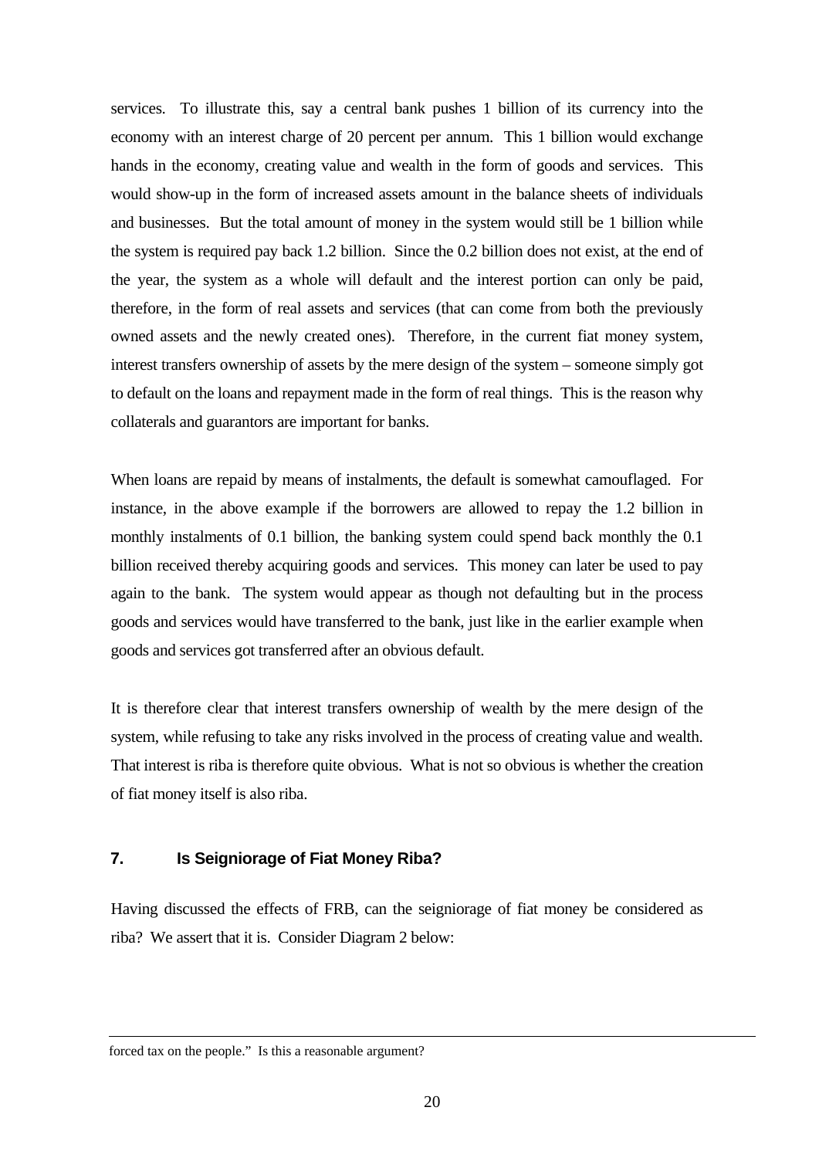services. To illustrate this, say a central bank pushes 1 billion of its currency into the economy with an interest charge of 20 percent per annum. This 1 billion would exchange hands in the economy, creating value and wealth in the form of goods and services. This would show-up in the form of increased assets amount in the balance sheets of individuals and businesses. But the total amount of money in the system would still be 1 billion while the system is required pay back 1.2 billion. Since the 0.2 billion does not exist, at the end of the year, the system as a whole will default and the interest portion can only be paid, therefore, in the form of real assets and services (that can come from both the previously owned assets and the newly created ones). Therefore, in the current fiat money system, interest transfers ownership of assets by the mere design of the system – someone simply got to default on the loans and repayment made in the form of real things. This is the reason why collaterals and guarantors are important for banks.

When loans are repaid by means of instalments, the default is somewhat camouflaged. For instance, in the above example if the borrowers are allowed to repay the 1.2 billion in monthly instalments of 0.1 billion, the banking system could spend back monthly the 0.1 billion received thereby acquiring goods and services. This money can later be used to pay again to the bank. The system would appear as though not defaulting but in the process goods and services would have transferred to the bank, just like in the earlier example when goods and services got transferred after an obvious default.

It is therefore clear that interest transfers ownership of wealth by the mere design of the system, while refusing to take any risks involved in the process of creating value and wealth. That interest is riba is therefore quite obvious. What is not so obvious is whether the creation of fiat money itself is also riba.

## **7. Is Seigniorage of Fiat Money Riba?**

Having discussed the effects of FRB, can the seigniorage of fiat money be considered as riba? We assert that it is. Consider Diagram 2 below:

#### forced tax on the people." Is this a reasonable argument?

 $\overline{\phantom{a}}$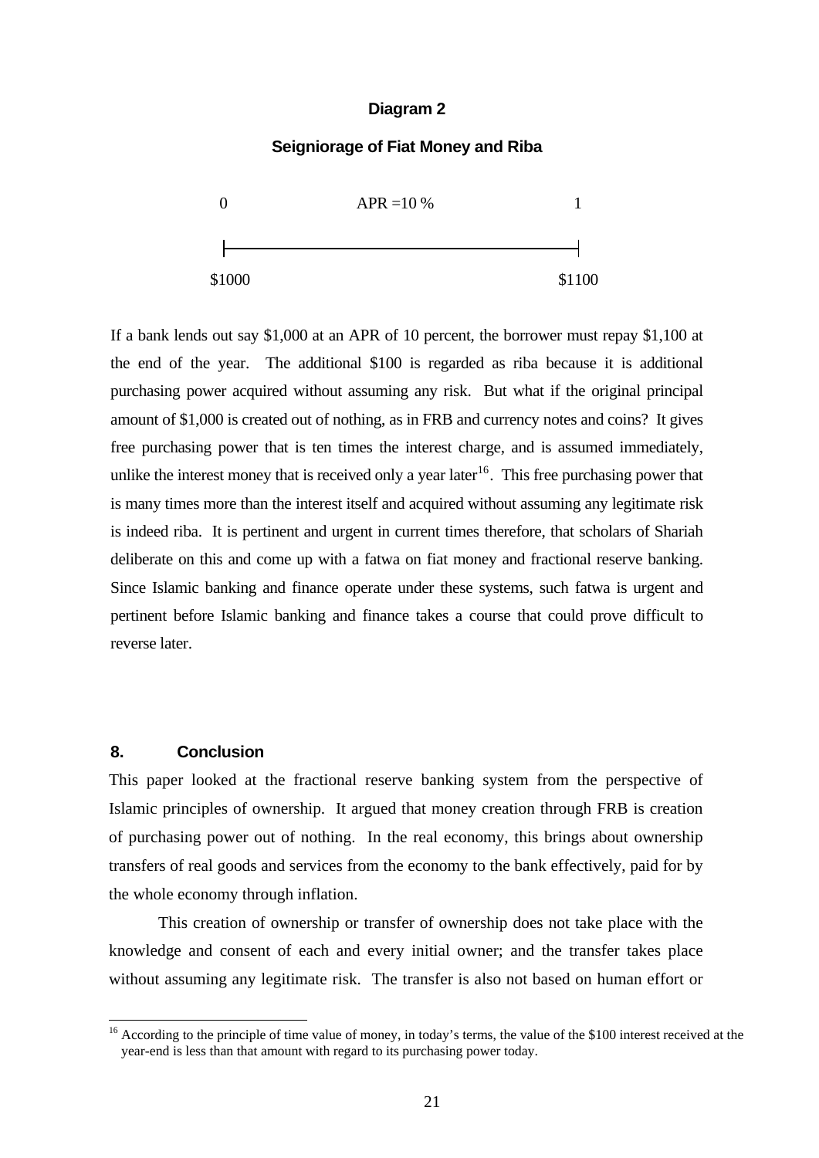#### **Diagram 2**

#### **Seigniorage of Fiat Money and Riba**



If a bank lends out say \$1,000 at an APR of 10 percent, the borrower must repay \$1,100 at the end of the year. The additional \$100 is regarded as riba because it is additional purchasing power acquired without assuming any risk. But what if the original principal amount of \$1,000 is created out of nothing, as in FRB and currency notes and coins? It gives free purchasing power that is ten times the interest charge, and is assumed immediately, unlike the interest money that is received only a year later<sup>[16](#page-20-0)</sup>. This free purchasing power that is many times more than the interest itself and acquired without assuming any legitimate risk is indeed riba. It is pertinent and urgent in current times therefore, that scholars of Shariah deliberate on this and come up with a fatwa on fiat money and fractional reserve banking. Since Islamic banking and finance operate under these systems, such fatwa is urgent and pertinent before Islamic banking and finance takes a course that could prove difficult to reverse later.

## **8. Conclusion**

 $\overline{a}$ 

This paper looked at the fractional reserve banking system from the perspective of Islamic principles of ownership. It argued that money creation through FRB is creation of purchasing power out of nothing. In the real economy, this brings about ownership transfers of real goods and services from the economy to the bank effectively, paid for by the whole economy through inflation.

This creation of ownership or transfer of ownership does not take place with the knowledge and consent of each and every initial owner; and the transfer takes place without assuming any legitimate risk. The transfer is also not based on human effort or

<span id="page-20-0"></span><sup>&</sup>lt;sup>16</sup> According to the principle of time value of money, in today's terms, the value of the \$100 interest received at the year-end is less than that amount with regard to its purchasing power today.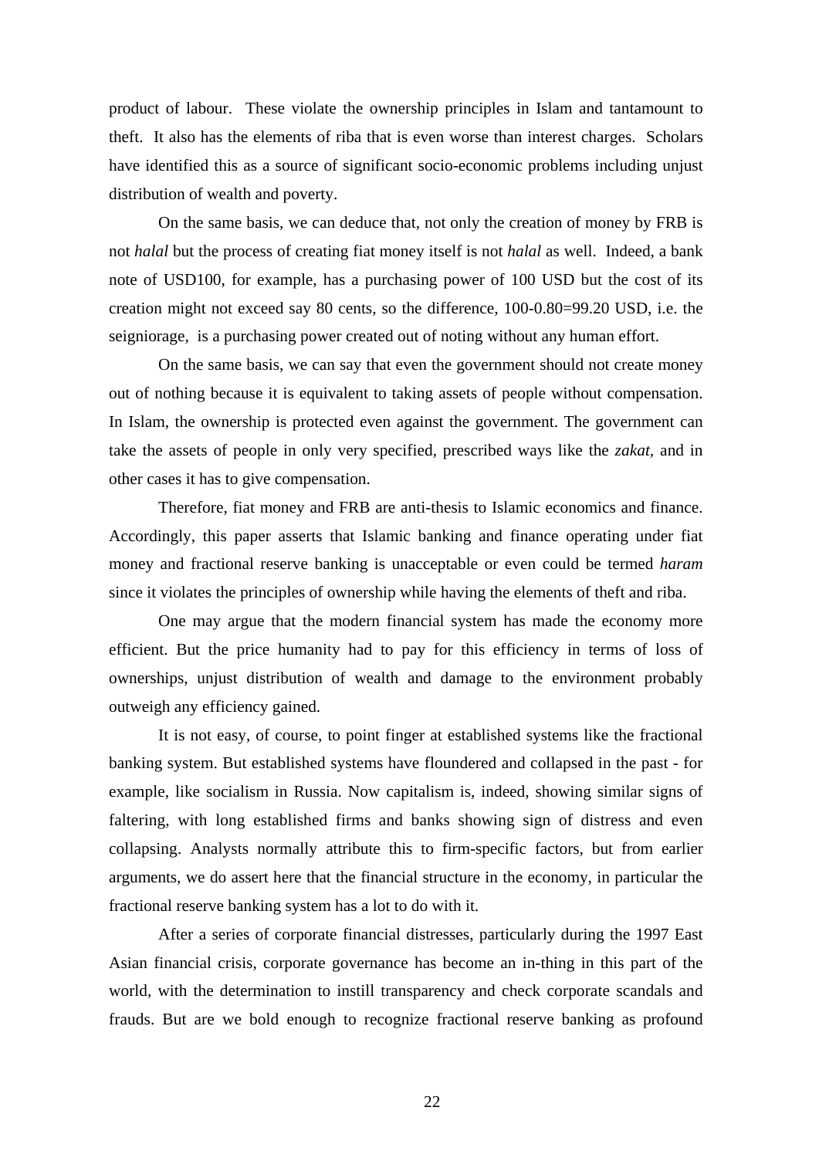product of labour. These violate the ownership principles in Islam and tantamount to theft. It also has the elements of riba that is even worse than interest charges. Scholars have identified this as a source of significant socio-economic problems including unjust distribution of wealth and poverty.

On the same basis, we can deduce that, not only the creation of money by FRB is not *halal* but the process of creating fiat money itself is not *halal* as well. Indeed, a bank note of USD100, for example, has a purchasing power of 100 USD but the cost of its creation might not exceed say 80 cents, so the difference, 100-0.80=99.20 USD, i.e. the seigniorage, is a purchasing power created out of noting without any human effort.

On the same basis, we can say that even the government should not create money out of nothing because it is equivalent to taking assets of people without compensation. In Islam, the ownership is protected even against the government. The government can take the assets of people in only very specified, prescribed ways like the *zakat,* and in other cases it has to give compensation.

Therefore, fiat money and FRB are anti-thesis to Islamic economics and finance. Accordingly, this paper asserts that Islamic banking and finance operating under fiat money and fractional reserve banking is unacceptable or even could be termed *haram* since it violates the principles of ownership while having the elements of theft and riba.

One may argue that the modern financial system has made the economy more efficient. But the price humanity had to pay for this efficiency in terms of loss of ownerships, unjust distribution of wealth and damage to the environment probably outweigh any efficiency gained.

It is not easy, of course, to point finger at established systems like the fractional banking system. But established systems have floundered and collapsed in the past - for example, like socialism in Russia. Now capitalism is, indeed, showing similar signs of faltering, with long established firms and banks showing sign of distress and even collapsing. Analysts normally attribute this to firm-specific factors, but from earlier arguments, we do assert here that the financial structure in the economy, in particular the fractional reserve banking system has a lot to do with it.

After a series of corporate financial distresses, particularly during the 1997 East Asian financial crisis, corporate governance has become an in-thing in this part of the world, with the determination to instill transparency and check corporate scandals and frauds. But are we bold enough to recognize fractional reserve banking as profound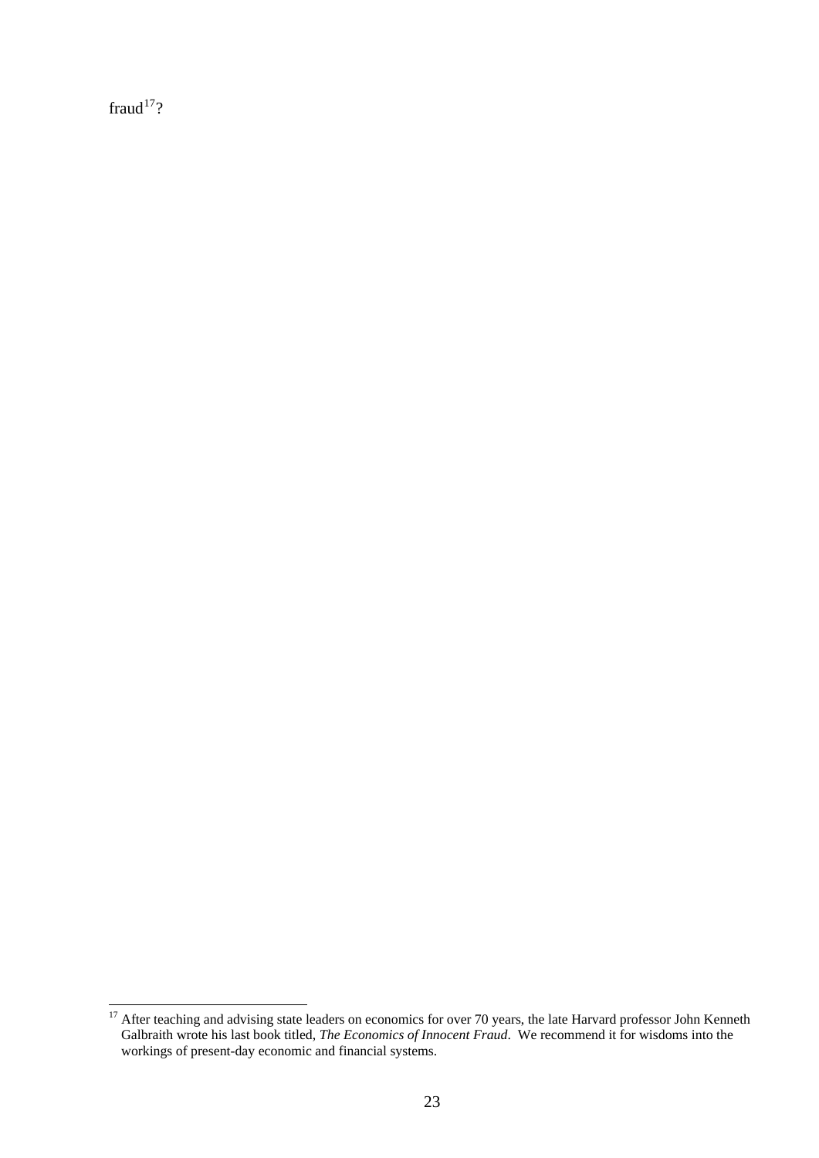fraud $17$ ?

<span id="page-22-0"></span> $\overline{\phantom{a}}$  $17$  After teaching and advising state leaders on economics for over 70 years, the late Harvard professor John Kenneth Galbraith wrote his last book titled, *The Economics of Innocent Fraud*. We recommend it for wisdoms into the workings of present-day economic and financial systems.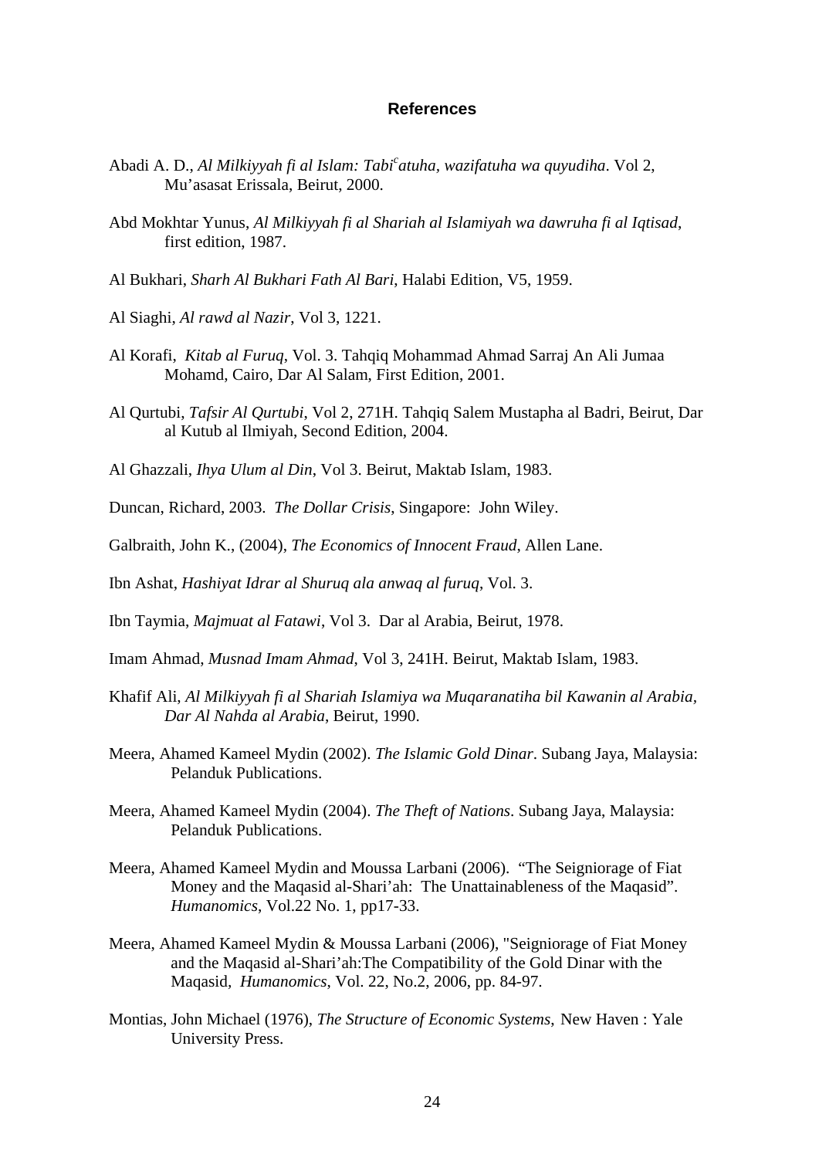#### **References**

- Abadi A. D., *Al Milkiyyah fi al Islam: Tabi<sup>c</sup> atuha, wazifatuha wa quyudiha*. Vol 2, Mu'asasat Erissala, Beirut, 2000.
- Abd Mokhtar Yunus, *Al Milkiyyah fi al Shariah al Islamiyah wa dawruha fi al Iqtisad*, first edition, 1987.
- Al Bukhari, *Sharh Al Bukhari Fath Al Bari*, Halabi Edition, V5, 1959.
- Al Siaghi, *Al rawd al Nazir*, Vol 3, 1221.
- Al Korafi, *Kitab al Furuq*, Vol. 3. Tahqiq Mohammad Ahmad Sarraj An Ali Jumaa Mohamd, Cairo, Dar Al Salam, First Edition, 2001.
- Al Qurtubi, *Tafsir Al Qurtubi*, Vol 2, 271H. Tahqiq Salem Mustapha al Badri, Beirut, Dar al Kutub al Ilmiyah, Second Edition, 2004.
- Al Ghazzali, *Ihya Ulum al Din*, Vol 3. Beirut, Maktab Islam, 1983.

Duncan, Richard, 2003. *The Dollar Crisis*, Singapore: John Wiley.

- Galbraith, John K., (2004), *The Economics of Innocent Fraud*, Allen Lane.
- Ibn Ashat, *Hashiyat Idrar al Shuruq ala anwaq al furuq*, Vol. 3.
- Ibn Taymia, *Majmuat al Fatawi*, Vol 3. Dar al Arabia, Beirut, 1978.
- Imam Ahmad, *Musnad Imam Ahmad*, Vol 3, 241H. Beirut, Maktab Islam, 1983.
- Khafif Ali, *Al Milkiyyah fi al Shariah Islamiya wa Muqaranatiha bil Kawanin al Arabia, Dar Al Nahda al Arabia*, Beirut, 1990.
- Meera, Ahamed Kameel Mydin (2002). *The Islamic Gold Dinar*. Subang Jaya, Malaysia: Pelanduk Publications.
- Meera, Ahamed Kameel Mydin (2004). *The Theft of Nations*. Subang Jaya, Malaysia: Pelanduk Publications.
- Meera, Ahamed Kameel Mydin and Moussa Larbani (2006). "The Seigniorage of Fiat Money and the Maqasid al-Shari'ah: The Unattainableness of the Maqasid". *Humanomics*, Vol.22 No. 1, pp17-33.
- Meera, Ahamed Kameel Mydin & Moussa Larbani (2006), "Seigniorage of Fiat Money and the Maqasid al-Shari'ah:The Compatibility of the Gold Dinar with the Maqasid*, Humanomics*, Vol. 22, No.2, 2006, pp. 84-97.
- Montias, John Michael (1976), *The Structure of Economic Systems*, New Haven : Yale University Press.